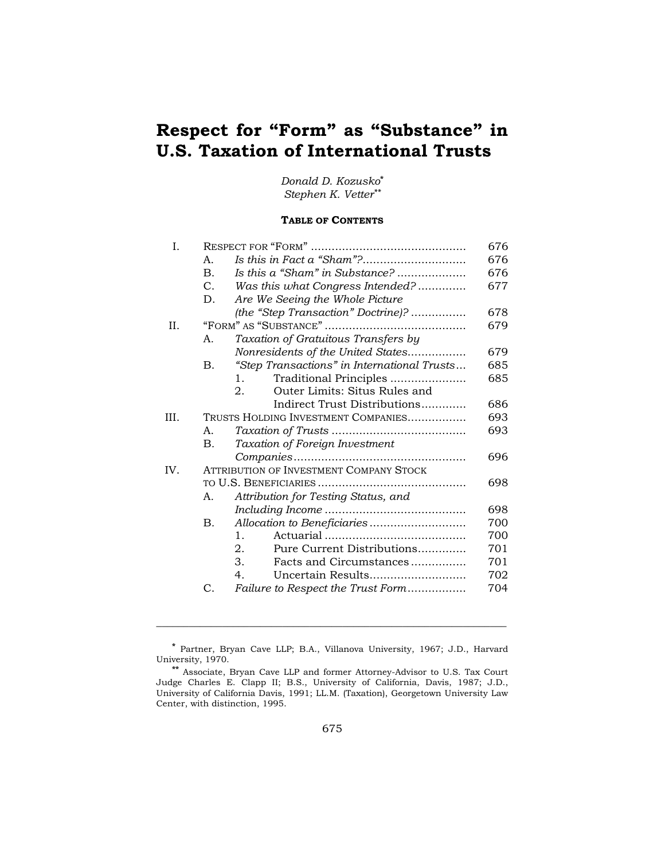# **Respect for "Form" as "Substance" in U.S. Taxation of International Trusts**

# *Donald D. Kozusko***\*** *Stephen K. Vetter\*\**

# **TABLE OF CONTENTS**

|                 |                                             | 676                                                                                                                                            |
|-----------------|---------------------------------------------|------------------------------------------------------------------------------------------------------------------------------------------------|
| A <sub>1</sub>  |                                             | 676                                                                                                                                            |
| $\mathbf{B}$ .  | Is this a "Sham" in Substance?              | 676                                                                                                                                            |
| $C_{\cdot}$     | Was this what Congress Intended?            | 677                                                                                                                                            |
| D.              | Are We Seeing the Whole Picture             |                                                                                                                                                |
|                 | (the "Step Transaction" Doctrine)?          | 678                                                                                                                                            |
|                 |                                             | 679                                                                                                                                            |
| А.              | Taxation of Gratuitous Transfers by         |                                                                                                                                                |
|                 | Nonresidents of the United States           | 679                                                                                                                                            |
| Β.              | "Step Transactions" in International Trusts | 685                                                                                                                                            |
|                 | Traditional Principles<br>$1_{-}$           | 685                                                                                                                                            |
|                 | Outer Limits: Situs Rules and<br>2.         |                                                                                                                                                |
|                 | Indirect Trust Distributions                | 686                                                                                                                                            |
|                 |                                             | 693                                                                                                                                            |
| A.              |                                             | 693                                                                                                                                            |
| <b>B.</b>       | Taxation of Foreign Investment              |                                                                                                                                                |
|                 |                                             | 696                                                                                                                                            |
|                 |                                             |                                                                                                                                                |
|                 |                                             | 698                                                                                                                                            |
| Α.              | Attribution for Testing Status, and         |                                                                                                                                                |
|                 |                                             | 698                                                                                                                                            |
| <b>B.</b>       |                                             | 700                                                                                                                                            |
|                 | $1_{-}$                                     | 700                                                                                                                                            |
|                 | 2.                                          | 701                                                                                                                                            |
|                 | 3.                                          | 701                                                                                                                                            |
|                 | 4.<br>Uncertain Results                     | 702                                                                                                                                            |
| $\mathcal{C}$ . | Failure to Respect the Trust Form           | 704                                                                                                                                            |
|                 |                                             | TRUSTS HOLDING INVESTMENT COMPANIES<br><b>ATTRIBUTION OF INVESTMENT COMPANY STOCK</b><br>Pure Current Distributions<br>Facts and Circumstances |

**<sup>\*</sup>** Partner, Bryan Cave LLP; B.A., Villanova University, 1967; J.D., Harvard University, 1970.

**<sup>\*\*</sup>** Associate, Bryan Cave LLP and former Attorney-Advisor to U.S. Tax Court Judge Charles E. Clapp II; B.S., University of California, Davis, 1987; J.D., University of California Davis, 1991; LL.M. (Taxation), Georgetown University Law Center, with distinction, 1995.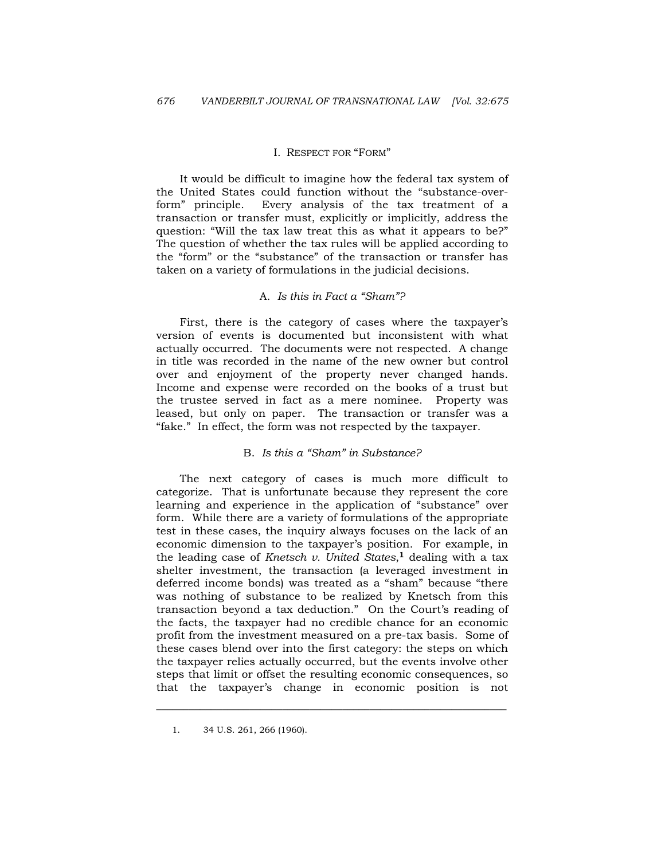### I. RESPECT FOR "FORM"

 It would be difficult to imagine how the federal tax system of the United States could function without the "substance-overform" principle. Every analysis of the tax treatment of a transaction or transfer must, explicitly or implicitly, address the question: "Will the tax law treat this as what it appears to be?" The question of whether the tax rules will be applied according to the "form" or the "substance" of the transaction or transfer has taken on a variety of formulations in the judicial decisions.

# A. *Is this in Fact a "Sham"?*

 First, there is the category of cases where the taxpayer's version of events is documented but inconsistent with what actually occurred. The documents were not respected. A change in title was recorded in the name of the new owner but control over and enjoyment of the property never changed hands. Income and expense were recorded on the books of a trust but the trustee served in fact as a mere nominee. Property was leased, but only on paper. The transaction or transfer was a "fake." In effect, the form was not respected by the taxpayer.

### B. *Is this a "Sham" in Substance?*

 The next category of cases is much more difficult to categorize. That is unfortunate because they represent the core learning and experience in the application of "substance" over form. While there are a variety of formulations of the appropriate test in these cases, the inquiry always focuses on the lack of an economic dimension to the taxpayer's position. For example, in the leading case of *Knetsch v. United States*,**1** dealing with a tax shelter investment, the transaction (a leveraged investment in deferred income bonds) was treated as a "sham" because "there was nothing of substance to be realized by Knetsch from this transaction beyond a tax deduction." On the Court's reading of the facts, the taxpayer had no credible chance for an economic profit from the investment measured on a pre-tax basis. Some of these cases blend over into the first category: the steps on which the taxpayer relies actually occurred, but the events involve other steps that limit or offset the resulting economic consequences, so that the taxpayer's change in economic position is not

 <sup>1. 34</sup> U.S. 261, 266 (1960).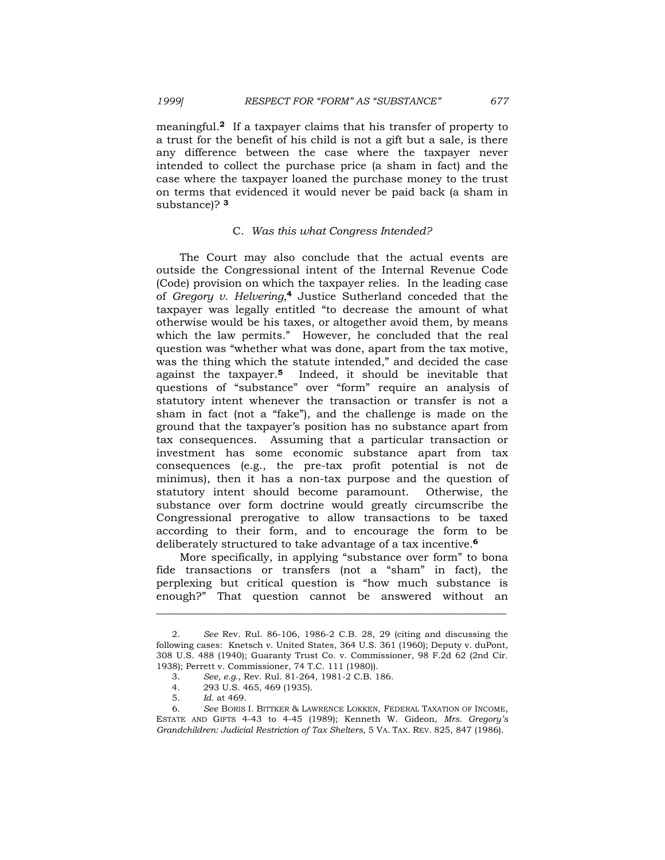meaningful.**2** If a taxpayer claims that his transfer of property to a trust for the benefit of his child is not a gift but a sale, is there any difference between the case where the taxpayer never intended to collect the purchase price (a sham in fact) and the case where the taxpayer loaned the purchase money to the trust on terms that evidenced it would never be paid back (a sham in substance)? **<sup>3</sup>**

### C. *Was this what Congress Intended?*

 The Court may also conclude that the actual events are outside the Congressional intent of the Internal Revenue Code (Code) provision on which the taxpayer relies. In the leading case of *Gregory v. Helvering*,**4** Justice Sutherland conceded that the taxpayer was legally entitled "to decrease the amount of what otherwise would be his taxes, or altogether avoid them, by means which the law permits." However, he concluded that the real question was "whether what was done, apart from the tax motive, was the thing which the statute intended," and decided the case against the taxpayer.**5** Indeed, it should be inevitable that questions of "substance" over "form" require an analysis of statutory intent whenever the transaction or transfer is not a sham in fact (not a "fake"), and the challenge is made on the ground that the taxpayer's position has no substance apart from tax consequences. Assuming that a particular transaction or investment has some economic substance apart from tax consequences (e.g., the pre-tax profit potential is not de minimus), then it has a non-tax purpose and the question of statutory intent should become paramount. Otherwise, the substance over form doctrine would greatly circumscribe the Congressional prerogative to allow transactions to be taxed according to their form, and to encourage the form to be deliberately structured to take advantage of a tax incentive.**<sup>6</sup>**

 More specifically, in applying "substance over form" to bona fide transactions or transfers (not a "sham" in fact), the perplexing but critical question is "how much substance is enough?" That question cannot be answered without an

<sup>2.</sup> *See* Rev. Rul. 86-106, 1986-2 C.B. 28, 29 (citing and discussing the following cases: Knetsch v. United States, 364 U.S. 361 (1960); Deputy v. duPont, 308 U.S. 488 (1940); Guaranty Trust Co. v. Commissioner, 98 F.2d 62 (2nd Cir. 1938); Perrett v. Commissioner, 74 T.C. 111 (1980)).

<sup>3.</sup> *See, e.g.*, Rev. Rul. 81-264, 1981-2 C.B. 186.

<sup>4. 293</sup> U.S. 465, 469 (1935).

<sup>5.</sup> *Id.* at 469.

 <sup>6.</sup> *See* BORIS I. BITTKER & LAWRENCE LOKKEN, FEDERAL TAXATION OF INCOME, ESTATE AND GIFTS 4-43 to 4-45 (1989); Kenneth W. Gideon, *Mrs. Gregory's Grandchildren: Judicial Restriction of Tax Shelters*, 5 VA. TAX. REV. 825, 847 (1986).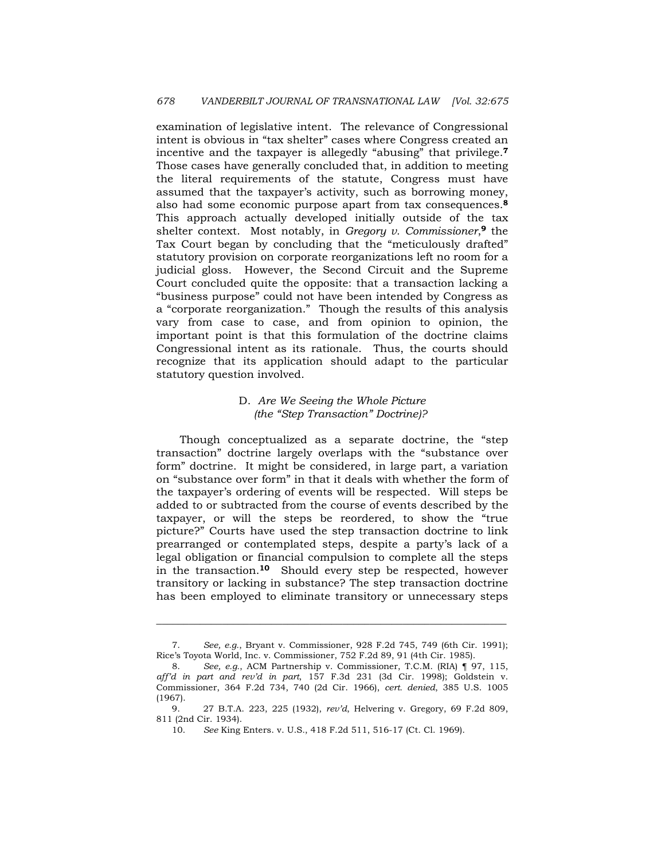examination of legislative intent. The relevance of Congressional intent is obvious in "tax shelter" cases where Congress created an incentive and the taxpayer is allegedly "abusing" that privilege.**<sup>7</sup>** Those cases have generally concluded that, in addition to meeting the literal requirements of the statute, Congress must have assumed that the taxpayer's activity, such as borrowing money, also had some economic purpose apart from tax consequences.**<sup>8</sup>** This approach actually developed initially outside of the tax shelter context. Most notably, in *Gregory v. Commissioner*,**9** the Tax Court began by concluding that the "meticulously drafted" statutory provision on corporate reorganizations left no room for a judicial gloss. However, the Second Circuit and the Supreme Court concluded quite the opposite: that a transaction lacking a "business purpose" could not have been intended by Congress as a "corporate reorganization." Though the results of this analysis vary from case to case, and from opinion to opinion, the important point is that this formulation of the doctrine claims Congressional intent as its rationale. Thus, the courts should recognize that its application should adapt to the particular statutory question involved.

# D. *Are We Seeing the Whole Picture (the "Step Transaction" Doctrine)?*

 Though conceptualized as a separate doctrine, the "step transaction" doctrine largely overlaps with the "substance over form" doctrine. It might be considered, in large part, a variation on "substance over form" in that it deals with whether the form of the taxpayer's ordering of events will be respected. Will steps be added to or subtracted from the course of events described by the taxpayer, or will the steps be reordered, to show the "true picture?" Courts have used the step transaction doctrine to link prearranged or contemplated steps, despite a party's lack of a legal obligation or financial compulsion to complete all the steps in the transaction.**10** Should every step be respected, however transitory or lacking in substance? The step transaction doctrine has been employed to eliminate transitory or unnecessary steps

 <sup>7.</sup> *See, e.g.*, Bryant v. Commissioner, 928 F.2d 745, 749 (6th Cir. 1991); Rice's Toyota World, Inc. v. Commissioner, 752 F.2d 89, 91 (4th Cir. 1985).

 <sup>8.</sup> *See, e.g.*, ACM Partnership v. Commissioner, T.C.M. (RIA) ¶ 97, 115, *aff'd in part and rev'd in part*, 157 F.3d 231 (3d Cir. 1998); Goldstein v. Commissioner, 364 F.2d 734, 740 (2d Cir. 1966), *cert. denied*, 385 U.S. 1005 (1967).

 <sup>9. 27</sup> B.T.A. 223, 225 (1932), *rev'd*, Helvering v. Gregory, 69 F.2d 809, 811 (2nd Cir. 1934).

 <sup>10.</sup> *See* King Enters. v. U.S*.*, 418 F.2d 511, 516-17 (Ct. Cl. 1969).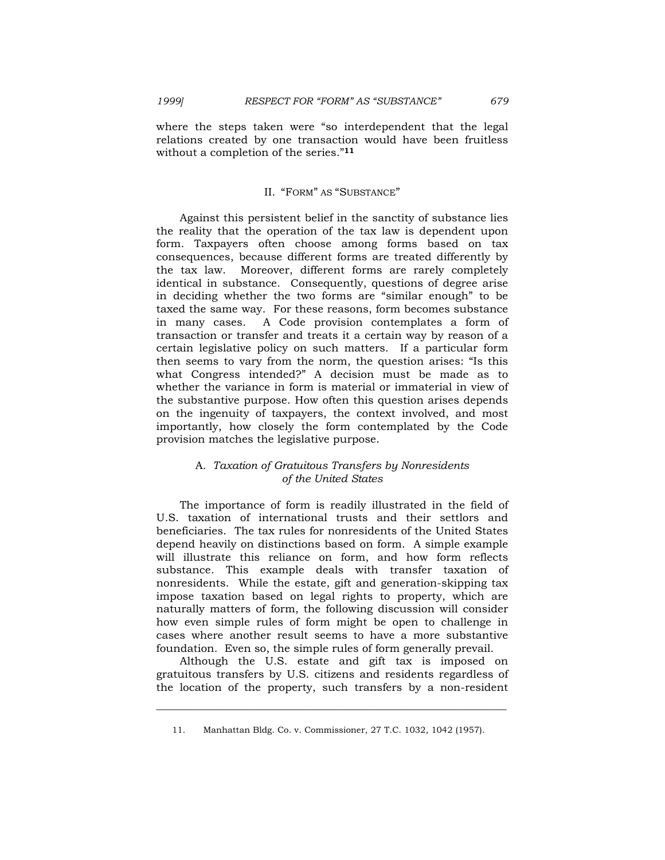where the steps taken were "so interdependent that the legal relations created by one transaction would have been fruitless without a completion of the series."**<sup>11</sup>**

# II. "FORM" AS "SUBSTANCE"

 Against this persistent belief in the sanctity of substance lies the reality that the operation of the tax law is dependent upon form. Taxpayers often choose among forms based on tax consequences, because different forms are treated differently by the tax law. Moreover, different forms are rarely completely identical in substance. Consequently, questions of degree arise in deciding whether the two forms are "similar enough" to be taxed the same way. For these reasons, form becomes substance in many cases. A Code provision contemplates a form of transaction or transfer and treats it a certain way by reason of a certain legislative policy on such matters. If a particular form then seems to vary from the norm, the question arises: "Is this what Congress intended?" A decision must be made as to whether the variance in form is material or immaterial in view of the substantive purpose. How often this question arises depends on the ingenuity of taxpayers, the context involved, and most importantly, how closely the form contemplated by the Code provision matches the legislative purpose.

# A. *Taxation of Gratuitous Transfers by Nonresidents of the United States*

 The importance of form is readily illustrated in the field of U.S. taxation of international trusts and their settlors and beneficiaries. The tax rules for nonresidents of the United States depend heavily on distinctions based on form. A simple example will illustrate this reliance on form, and how form reflects substance. This example deals with transfer taxation of nonresidents. While the estate, gift and generation-skipping tax impose taxation based on legal rights to property, which are naturally matters of form, the following discussion will consider how even simple rules of form might be open to challenge in cases where another result seems to have a more substantive foundation. Even so, the simple rules of form generally prevail.

 Although the U.S. estate and gift tax is imposed on gratuitous transfers by U.S. citizens and residents regardless of the location of the property, such transfers by a non-resident

 <sup>11.</sup> Manhattan Bldg. Co. v. Commissioner, 27 T.C. 1032, 1042 (1957).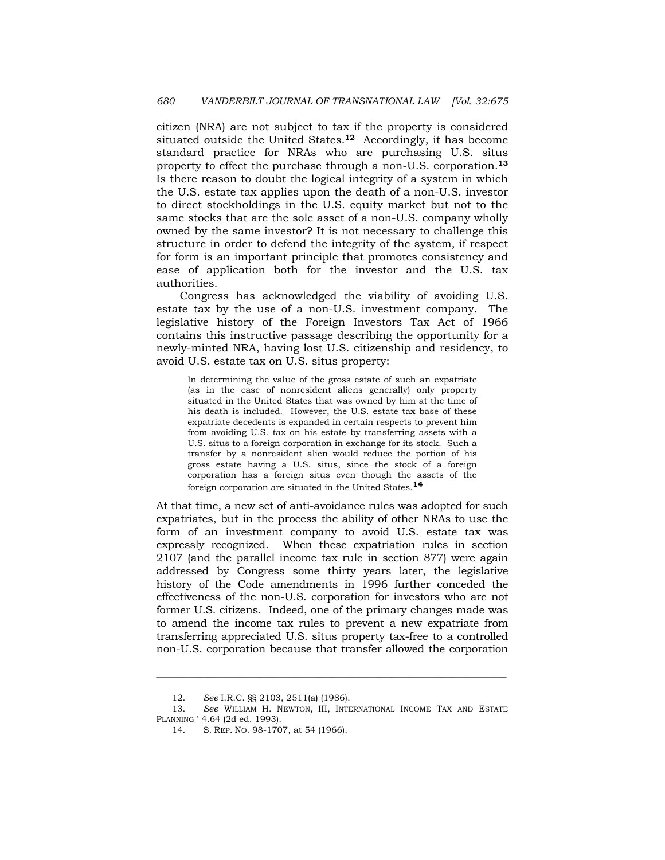citizen (NRA) are not subject to tax if the property is considered situated outside the United States.**12** Accordingly, it has become standard practice for NRAs who are purchasing U.S. situs property to effect the purchase through a non-U.S. corporation.**<sup>13</sup>** Is there reason to doubt the logical integrity of a system in which the U.S. estate tax applies upon the death of a non-U.S. investor to direct stockholdings in the U.S. equity market but not to the same stocks that are the sole asset of a non-U.S. company wholly owned by the same investor? It is not necessary to challenge this structure in order to defend the integrity of the system, if respect for form is an important principle that promotes consistency and ease of application both for the investor and the U.S. tax authorities.

 Congress has acknowledged the viability of avoiding U.S. estate tax by the use of a non-U.S. investment company. The legislative history of the Foreign Investors Tax Act of 1966 contains this instructive passage describing the opportunity for a newly-minted NRA, having lost U.S. citizenship and residency, to avoid U.S. estate tax on U.S. situs property:

In determining the value of the gross estate of such an expatriate (as in the case of nonresident aliens generally) only property situated in the United States that was owned by him at the time of his death is included. However, the U.S. estate tax base of these expatriate decedents is expanded in certain respects to prevent him from avoiding U.S. tax on his estate by transferring assets with a U.S. situs to a foreign corporation in exchange for its stock. Such a transfer by a nonresident alien would reduce the portion of his gross estate having a U.S. situs, since the stock of a foreign corporation has a foreign situs even though the assets of the foreign corporation are situated in the United States.**<sup>14</sup>**

At that time, a new set of anti-avoidance rules was adopted for such expatriates, but in the process the ability of other NRAs to use the form of an investment company to avoid U.S. estate tax was expressly recognized. When these expatriation rules in section 2107 (and the parallel income tax rule in section 877) were again addressed by Congress some thirty years later, the legislative history of the Code amendments in 1996 further conceded the effectiveness of the non-U.S. corporation for investors who are not former U.S. citizens. Indeed, one of the primary changes made was to amend the income tax rules to prevent a new expatriate from transferring appreciated U.S. situs property tax-free to a controlled non-U.S. corporation because that transfer allowed the corporation

 <sup>12.</sup> *See* I.R.C. §§ 2103, 2511(a) (1986).

 <sup>13.</sup> *See* WILLIAM H. NEWTON, III, INTERNATIONAL INCOME TAX AND ESTATE PLANNING ' 4.64 (2d ed. 1993).

 <sup>14.</sup> S. REP. NO. 98-1707, at 54 (1966).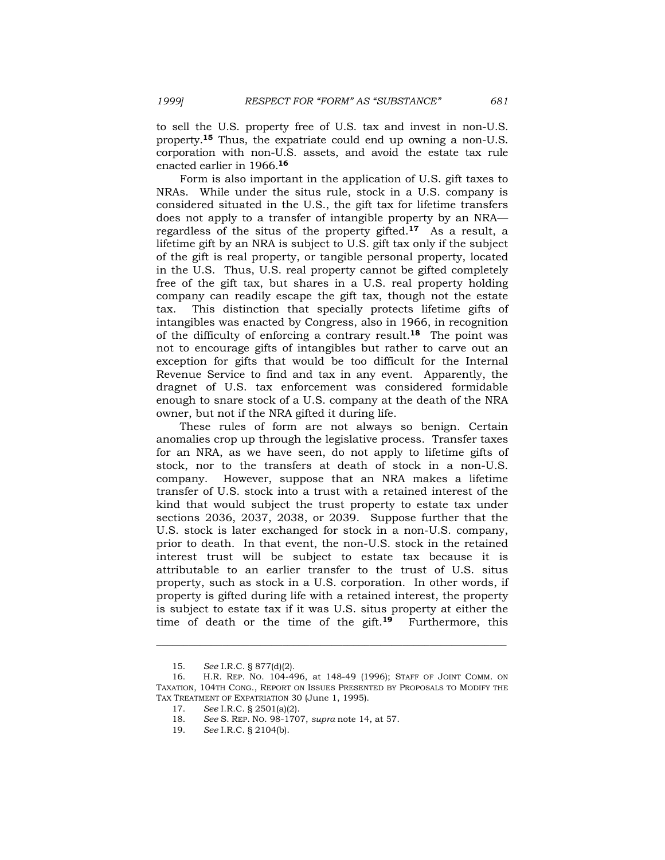to sell the U.S. property free of U.S. tax and invest in non-U.S. property.**15** Thus, the expatriate could end up owning a non-U.S. corporation with non-U.S. assets, and avoid the estate tax rule enacted earlier in 1966.**<sup>16</sup>**

 Form is also important in the application of U.S. gift taxes to NRAs. While under the situs rule, stock in a U.S. company is considered situated in the U.S., the gift tax for lifetime transfers does not apply to a transfer of intangible property by an NRA regardless of the situs of the property gifted.**17** As a result, a lifetime gift by an NRA is subject to U.S. gift tax only if the subject of the gift is real property, or tangible personal property, located in the U.S. Thus, U.S. real property cannot be gifted completely free of the gift tax, but shares in a U.S. real property holding company can readily escape the gift tax, though not the estate tax. This distinction that specially protects lifetime gifts of intangibles was enacted by Congress, also in 1966, in recognition of the difficulty of enforcing a contrary result.**18** The point was not to encourage gifts of intangibles but rather to carve out an exception for gifts that would be too difficult for the Internal Revenue Service to find and tax in any event. Apparently, the dragnet of U.S. tax enforcement was considered formidable enough to snare stock of a U.S. company at the death of the NRA owner, but not if the NRA gifted it during life.

 These rules of form are not always so benign. Certain anomalies crop up through the legislative process. Transfer taxes for an NRA, as we have seen, do not apply to lifetime gifts of stock, nor to the transfers at death of stock in a non-U.S. company. However, suppose that an NRA makes a lifetime transfer of U.S. stock into a trust with a retained interest of the kind that would subject the trust property to estate tax under sections 2036, 2037, 2038, or 2039. Suppose further that the U.S. stock is later exchanged for stock in a non-U.S. company, prior to death. In that event, the non-U.S. stock in the retained interest trust will be subject to estate tax because it is attributable to an earlier transfer to the trust of U.S. situs property, such as stock in a U.S. corporation. In other words, if property is gifted during life with a retained interest, the property is subject to estate tax if it was U.S. situs property at either the time of death or the time of the gift.**19** Furthermore, this

 <sup>15.</sup> *See* I.R.C. § 877(d)(2).

 <sup>16.</sup> H.R. REP. NO. 104-496, at 148-49 (1996); STAFF OF JOINT COMM. ON TAXATION, 104TH CONG., REPORT ON ISSUES PRESENTED BY PROPOSALS TO MODIFY THE TAX TREATMENT OF EXPATRIATION 30 (June 1, 1995).

 <sup>17.</sup> *See* I.R.C. § 2501(a)(2).

 <sup>18.</sup> *See* S. REP. NO. 98-1707, *supra* note 14, at 57.

 <sup>19.</sup> *See* I.R.C. § 2104(b).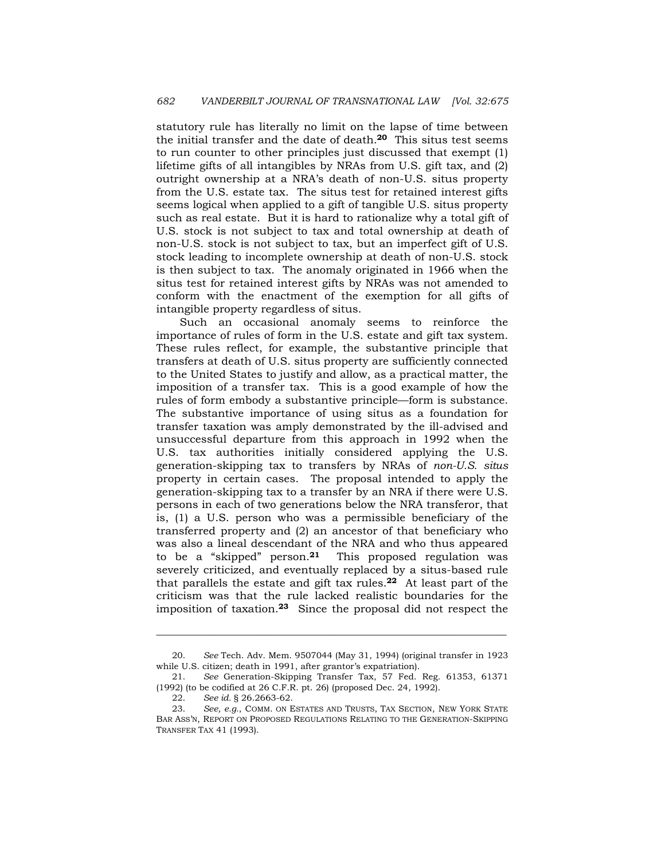statutory rule has literally no limit on the lapse of time between the initial transfer and the date of death.**20** This situs test seems to run counter to other principles just discussed that exempt (1) lifetime gifts of all intangibles by NRAs from U.S. gift tax, and (2) outright ownership at a NRA's death of non-U.S. situs property from the U.S. estate tax. The situs test for retained interest gifts seems logical when applied to a gift of tangible U.S. situs property such as real estate. But it is hard to rationalize why a total gift of U.S. stock is not subject to tax and total ownership at death of non-U.S. stock is not subject to tax, but an imperfect gift of U.S. stock leading to incomplete ownership at death of non-U.S. stock is then subject to tax. The anomaly originated in 1966 when the situs test for retained interest gifts by NRAs was not amended to conform with the enactment of the exemption for all gifts of intangible property regardless of situs.

 Such an occasional anomaly seems to reinforce the importance of rules of form in the U.S. estate and gift tax system. These rules reflect, for example, the substantive principle that transfers at death of U.S. situs property are sufficiently connected to the United States to justify and allow, as a practical matter, the imposition of a transfer tax. This is a good example of how the rules of form embody a substantive principle—form is substance. The substantive importance of using situs as a foundation for transfer taxation was amply demonstrated by the ill-advised and unsuccessful departure from this approach in 1992 when the U.S. tax authorities initially considered applying the U.S. generation-skipping tax to transfers by NRAs of *non-U.S. situs* property in certain cases. The proposal intended to apply the generation-skipping tax to a transfer by an NRA if there were U.S. persons in each of two generations below the NRA transferor, that is, (1) a U.S. person who was a permissible beneficiary of the transferred property and (2) an ancestor of that beneficiary who was also a lineal descendant of the NRA and who thus appeared to be a "skipped" person.**21** This proposed regulation was severely criticized, and eventually replaced by a situs-based rule that parallels the estate and gift tax rules.**22** At least part of the criticism was that the rule lacked realistic boundaries for the imposition of taxation.**23** Since the proposal did not respect the

 <sup>20.</sup> *See* Tech. Adv. Mem. 9507044 (May 31, 1994) (original transfer in 1923 while U.S. citizen; death in 1991, after grantor's expatriation).

 <sup>21.</sup> *See* Generation-Skipping Transfer Tax, 57 Fed. Reg. 61353, 61371 (1992) (to be codified at 26 C.F.R. pt. 26) (proposed Dec. 24, 1992).

 <sup>22.</sup> *See id.* § 26.2663-62.

 <sup>23.</sup> *See, e.g.*, COMM. ON ESTATES AND TRUSTS, TAX SECTION, NEW YORK STATE BAR ASS'N, REPORT ON PROPOSED REGULATIONS RELATING TO THE GENERATION-SKIPPING TRANSFER TAX 41 (1993).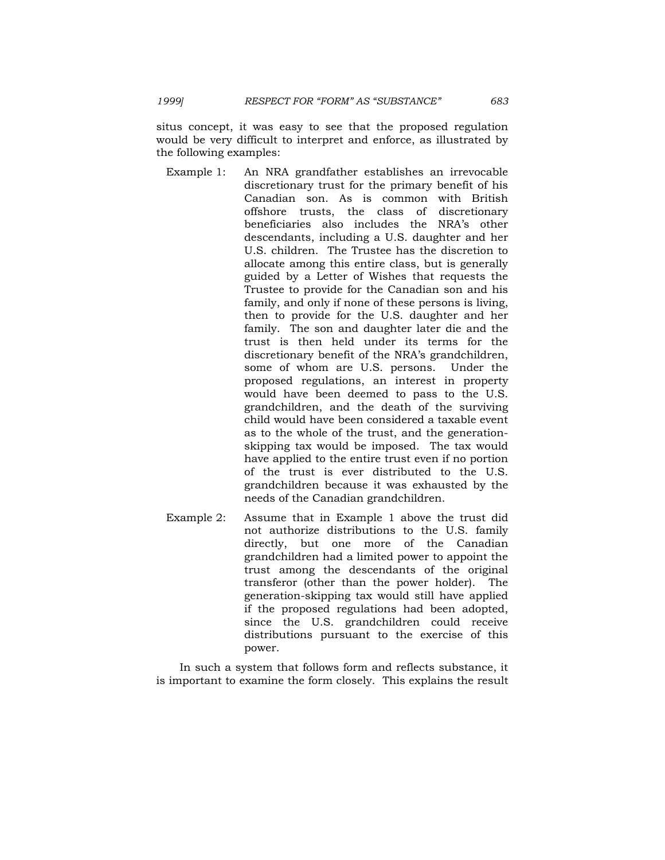situs concept, it was easy to see that the proposed regulation would be very difficult to interpret and enforce, as illustrated by the following examples:

- Example 1: An NRA grandfather establishes an irrevocable discretionary trust for the primary benefit of his Canadian son. As is common with British offshore trusts, the class of discretionary beneficiaries also includes the NRA's other descendants, including a U.S. daughter and her U.S. children. The Trustee has the discretion to allocate among this entire class, but is generally guided by a Letter of Wishes that requests the Trustee to provide for the Canadian son and his family, and only if none of these persons is living, then to provide for the U.S. daughter and her family. The son and daughter later die and the trust is then held under its terms for the discretionary benefit of the NRA's grandchildren, some of whom are U.S. persons. Under the proposed regulations, an interest in property would have been deemed to pass to the U.S. grandchildren, and the death of the surviving child would have been considered a taxable event as to the whole of the trust, and the generationskipping tax would be imposed. The tax would have applied to the entire trust even if no portion of the trust is ever distributed to the U.S. grandchildren because it was exhausted by the needs of the Canadian grandchildren.
- Example 2: Assume that in Example 1 above the trust did not authorize distributions to the U.S. family directly, but one more of the Canadian grandchildren had a limited power to appoint the trust among the descendants of the original transferor (other than the power holder). The generation-skipping tax would still have applied if the proposed regulations had been adopted, since the U.S. grandchildren could receive distributions pursuant to the exercise of this power.

 In such a system that follows form and reflects substance, it is important to examine the form closely. This explains the result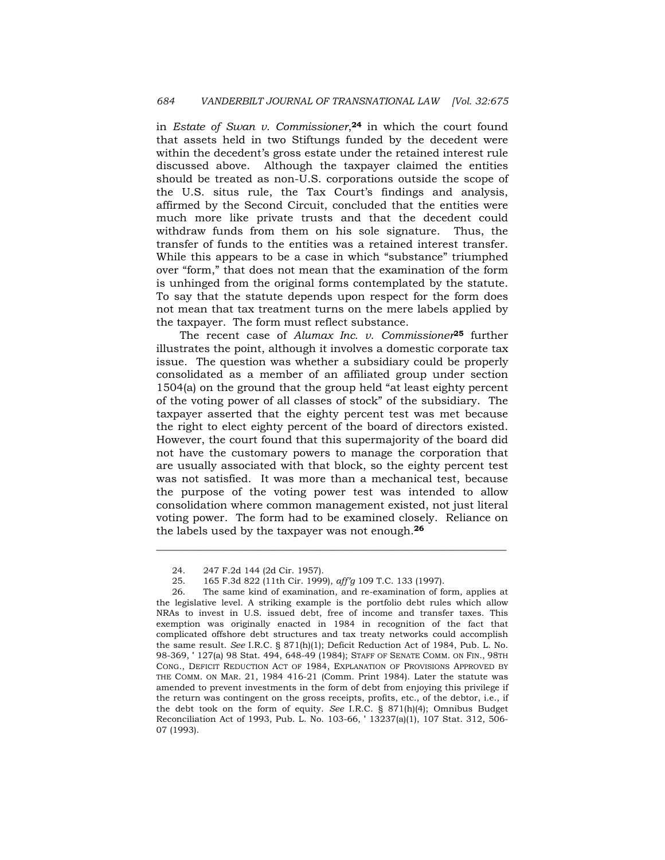in *Estate of Swan v. Commissioner*,**24** in which the court found that assets held in two Stiftungs funded by the decedent were within the decedent's gross estate under the retained interest rule discussed above. Although the taxpayer claimed the entities should be treated as non-U.S. corporations outside the scope of the U.S. situs rule, the Tax Court's findings and analysis, affirmed by the Second Circuit, concluded that the entities were much more like private trusts and that the decedent could withdraw funds from them on his sole signature. Thus, the transfer of funds to the entities was a retained interest transfer. While this appears to be a case in which "substance" triumphed over "form," that does not mean that the examination of the form is unhinged from the original forms contemplated by the statute. To say that the statute depends upon respect for the form does not mean that tax treatment turns on the mere labels applied by the taxpayer. The form must reflect substance.

 The recent case of *Alumax Inc. v. Commissioner***25** further illustrates the point, although it involves a domestic corporate tax issue. The question was whether a subsidiary could be properly consolidated as a member of an affiliated group under section 1504(a) on the ground that the group held "at least eighty percent of the voting power of all classes of stock" of the subsidiary. The taxpayer asserted that the eighty percent test was met because the right to elect eighty percent of the board of directors existed. However, the court found that this supermajority of the board did not have the customary powers to manage the corporation that are usually associated with that block, so the eighty percent test was not satisfied. It was more than a mechanical test, because the purpose of the voting power test was intended to allow consolidation where common management existed, not just literal voting power. The form had to be examined closely. Reliance on the labels used by the taxpayer was not enough.**<sup>26</sup>**

 <sup>24. 247</sup> F.2d 144 (2d Cir. 1957).

 <sup>25. 165</sup> F.3d 822 (11th Cir. 1999), *aff'g* 109 T.C. 133 (1997).

 <sup>26.</sup> The same kind of examination, and re-examination of form, applies at the legislative level. A striking example is the portfolio debt rules which allow NRAs to invest in U.S. issued debt, free of income and transfer taxes. This exemption was originally enacted in 1984 in recognition of the fact that complicated offshore debt structures and tax treaty networks could accomplish the same result. *See* I.R.C. § 871(h)(1); Deficit Reduction Act of 1984, Pub. L. No. 98-369, ' 127(a) 98 Stat. 494, 648-49 (1984); STAFF OF SENATE COMM. ON FIN., 98TH CONG., DEFICIT REDUCTION ACT OF 1984, EXPLANATION OF PROVISIONS APPROVED BY THE COMM. ON MAR. 21, 1984 416-21 (Comm. Print 1984). Later the statute was amended to prevent investments in the form of debt from enjoying this privilege if the return was contingent on the gross receipts, profits, etc., of the debtor, i.e., if the debt took on the form of equity. *See* I.R.C. § 871(h)(4); Omnibus Budget Reconciliation Act of 1993, Pub. L. No. 103-66, ' 13237(a)(1), 107 Stat. 312, 506- 07 (1993).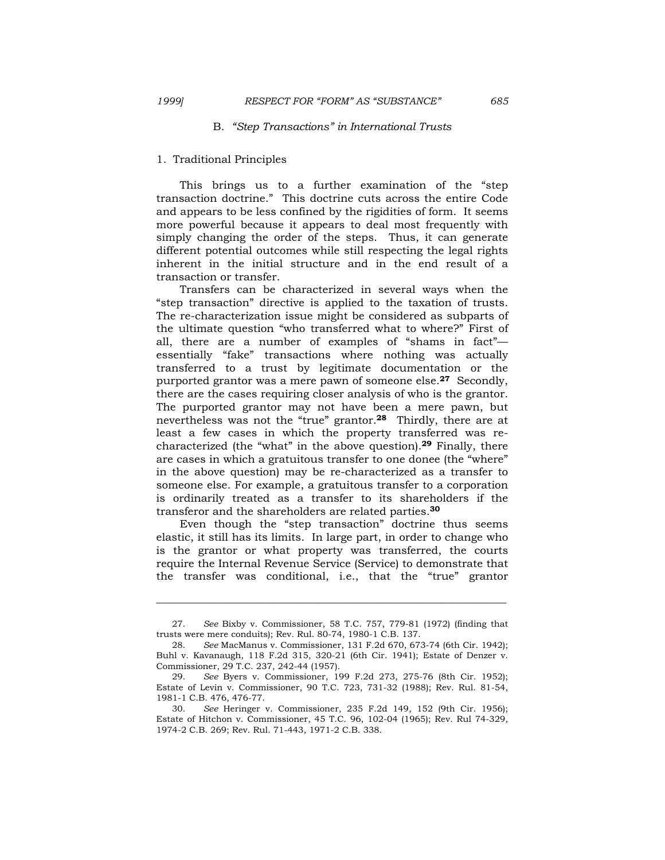# B. *"Step Transactions" in International Trusts*

### 1.Traditional Principles

 This brings us to a further examination of the "step transaction doctrine." This doctrine cuts across the entire Code and appears to be less confined by the rigidities of form. It seems more powerful because it appears to deal most frequently with simply changing the order of the steps. Thus, it can generate different potential outcomes while still respecting the legal rights inherent in the initial structure and in the end result of a transaction or transfer.

 Transfers can be characterized in several ways when the "step transaction" directive is applied to the taxation of trusts. The re-characterization issue might be considered as subparts of the ultimate question "who transferred what to where?" First of all, there are a number of examples of "shams in fact" essentially "fake" transactions where nothing was actually transferred to a trust by legitimate documentation or the purported grantor was a mere pawn of someone else.**27** Secondly, there are the cases requiring closer analysis of who is the grantor. The purported grantor may not have been a mere pawn, but nevertheless was not the "true" grantor.**28** Thirdly, there are at least a few cases in which the property transferred was recharacterized (the "what" in the above question).**29** Finally, there are cases in which a gratuitous transfer to one donee (the "where" in the above question) may be re-characterized as a transfer to someone else. For example, a gratuitous transfer to a corporation is ordinarily treated as a transfer to its shareholders if the transferor and the shareholders are related parties.**<sup>30</sup>**

 Even though the "step transaction" doctrine thus seems elastic, it still has its limits. In large part, in order to change who is the grantor or what property was transferred, the courts require the Internal Revenue Service (Service) to demonstrate that the transfer was conditional, i.e., that the "true" grantor

 <sup>27.</sup> *See* Bixby v. Commissioner, 58 T.C. 757, 779-81 (1972) (finding that trusts were mere conduits); Rev. Rul. 80-74, 1980-1 C.B. 137.

 <sup>28.</sup> *See* MacManus v. Commissioner, 131 F.2d 670, 673-74 (6th Cir. 1942); Buhl v. Kavanaugh, 118 F.2d 315, 320-21 (6th Cir. 1941); Estate of Denzer v. Commissioner, 29 T.C. 237, 242-44 (1957).

 <sup>29.</sup> *See* Byers v. Commissioner, 199 F.2d 273, 275-76 (8th Cir. 1952); Estate of Levin v. Commissioner, 90 T.C. 723, 731-32 (1988); Rev. Rul. 81-54, 1981-1 C.B. 476, 476-77.

 <sup>30.</sup> *See* Heringer v. Commissioner, 235 F.2d 149, 152 (9th Cir. 1956); Estate of Hitchon v. Commissioner, 45 T.C. 96, 102-04 (1965); Rev. Rul 74-329, 1974-2 C.B. 269; Rev. Rul. 71-443, 1971-2 C.B. 338.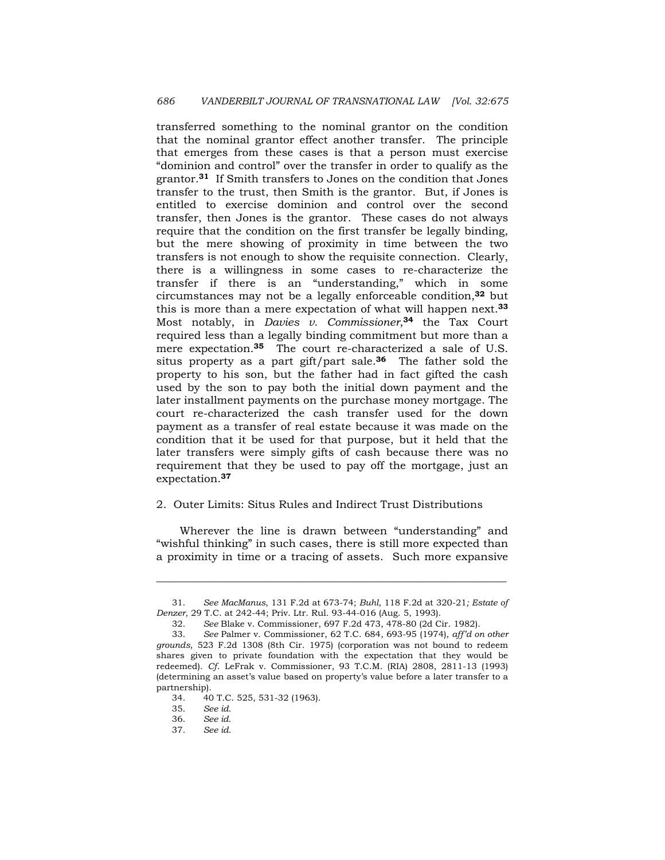transferred something to the nominal grantor on the condition that the nominal grantor effect another transfer. The principle that emerges from these cases is that a person must exercise "dominion and control" over the transfer in order to qualify as the grantor.**31** If Smith transfers to Jones on the condition that Jones transfer to the trust, then Smith is the grantor. But, if Jones is entitled to exercise dominion and control over the second transfer, then Jones is the grantor. These cases do not always require that the condition on the first transfer be legally binding, but the mere showing of proximity in time between the two transfers is not enough to show the requisite connection. Clearly, there is a willingness in some cases to re-characterize the transfer if there is an "understanding," which in some circumstances may not be a legally enforceable condition,**32** but this is more than a mere expectation of what will happen next.**<sup>33</sup>** Most notably, in *Davies v. Commissioner*,**34** the Tax Court required less than a legally binding commitment but more than a mere expectation.**35** The court re-characterized a sale of U.S. situs property as a part gift/part sale.**36** The father sold the property to his son, but the father had in fact gifted the cash used by the son to pay both the initial down payment and the later installment payments on the purchase money mortgage. The court re-characterized the cash transfer used for the down payment as a transfer of real estate because it was made on the condition that it be used for that purpose, but it held that the later transfers were simply gifts of cash because there was no requirement that they be used to pay off the mortgage, just an expectation.**<sup>37</sup>**

### 2. Outer Limits: Situs Rules and Indirect Trust Distributions

 Wherever the line is drawn between "understanding" and "wishful thinking" in such cases, there is still more expected than a proximity in time or a tracing of assets. Such more expansive

 <sup>31.</sup> *See MacManus*, 131 F.2d at 673-74; *Buhl*, 118 F.2d at 320-21*; Estate of Denzer*, 29 T.C. at 242-44; Priv. Ltr. Rul. 93-44-016 (Aug. 5, 1993).

 <sup>32.</sup> *See* Blake v. Commissioner, 697 F.2d 473, 478-80 (2d Cir. 1982).

 <sup>33.</sup> *See* Palmer v. Commissioner, 62 T.C. 684, 693-95 (1974)*, aff'd on other grounds*, 523 F.2d 1308 (8th Cir. 1975) (corporation was not bound to redeem shares given to private foundation with the expectation that they would be redeemed). *Cf*. LeFrak v. Commissioner, 93 T.C.M. (RIA) 2808, 2811-13 (1993) (determining an asset's value based on property's value before a later transfer to a partnership).

 <sup>34. 40</sup> T.C. 525, 531-32 (1963).

 <sup>35.</sup> *See id*.

 <sup>36.</sup> *See id*.

 <sup>37.</sup> *See id*.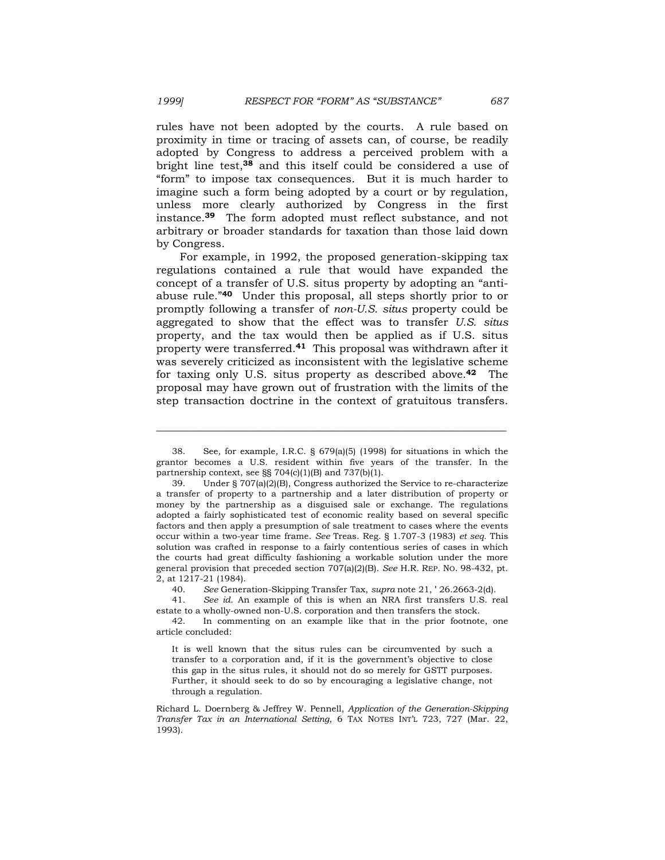rules have not been adopted by the courts. A rule based on proximity in time or tracing of assets can, of course, be readily adopted by Congress to address a perceived problem with a bright line test,**38** and this itself could be considered a use of "form" to impose tax consequences. But it is much harder to imagine such a form being adopted by a court or by regulation, unless more clearly authorized by Congress in the first instance.**39** The form adopted must reflect substance, and not arbitrary or broader standards for taxation than those laid down by Congress.

 For example, in 1992, the proposed generation-skipping tax regulations contained a rule that would have expanded the concept of a transfer of U.S. situs property by adopting an "antiabuse rule."**40** Under this proposal, all steps shortly prior to or promptly following a transfer of *non-U.S. situs* property could be aggregated to show that the effect was to transfer *U.S. situs* property, and the tax would then be applied as if U.S. situs property were transferred.**41** This proposal was withdrawn after it was severely criticized as inconsistent with the legislative scheme for taxing only U.S. situs property as described above.**42** The proposal may have grown out of frustration with the limits of the step transaction doctrine in the context of gratuitous transfers.

\_\_\_\_\_\_\_\_\_\_\_\_\_\_\_\_\_\_\_\_\_\_\_\_\_\_\_\_\_\_\_\_\_\_\_\_\_\_\_\_\_\_\_\_\_\_\_\_\_\_\_\_\_\_\_\_\_\_\_\_\_\_\_\_

40. *See* Generation-Skipping Transfer Tax, *supra* note 21, ' 26.2663-2(d).

 41. *See id*. An example of this is when an NRA first transfers U.S. real estate to a wholly-owned non-U.S. corporation and then transfers the stock.

 42. In commenting on an example like that in the prior footnote, one article concluded:

 <sup>38.</sup> See*,* for example*,* I.R.C. § 679(a)(5) (1998) for situations in which the grantor becomes a U.S. resident within five years of the transfer. In the partnership context, see §§ 704(c)(1)(B) and 737(b)(1).

 <sup>39.</sup> Under § 707(a)(2)(B), Congress authorized the Service to re-characterize a transfer of property to a partnership and a later distribution of property or money by the partnership as a disguised sale or exchange. The regulations adopted a fairly sophisticated test of economic reality based on several specific factors and then apply a presumption of sale treatment to cases where the events occur within a two-year time frame. *See* Treas. Reg. § 1.707-3 (1983) *et seq.* This solution was crafted in response to a fairly contentious series of cases in which the courts had great difficulty fashioning a workable solution under the more general provision that preceded section 707(a)(2)(B). *See* H.R. REP. NO. 98-432, pt. 2, at 1217-21 (1984).

It is well known that the situs rules can be circumvented by such a transfer to a corporation and, if it is the government's objective to close this gap in the situs rules, it should not do so merely for GSTT purposes. Further, it should seek to do so by encouraging a legislative change, not through a regulation.

Richard L. Doernberg & Jeffrey W. Pennell, *Application of the Generation-Skipping Transfer Tax in an International Setting*, 6 TAX NOTES INT'L 723, 727 (Mar. 22, 1993).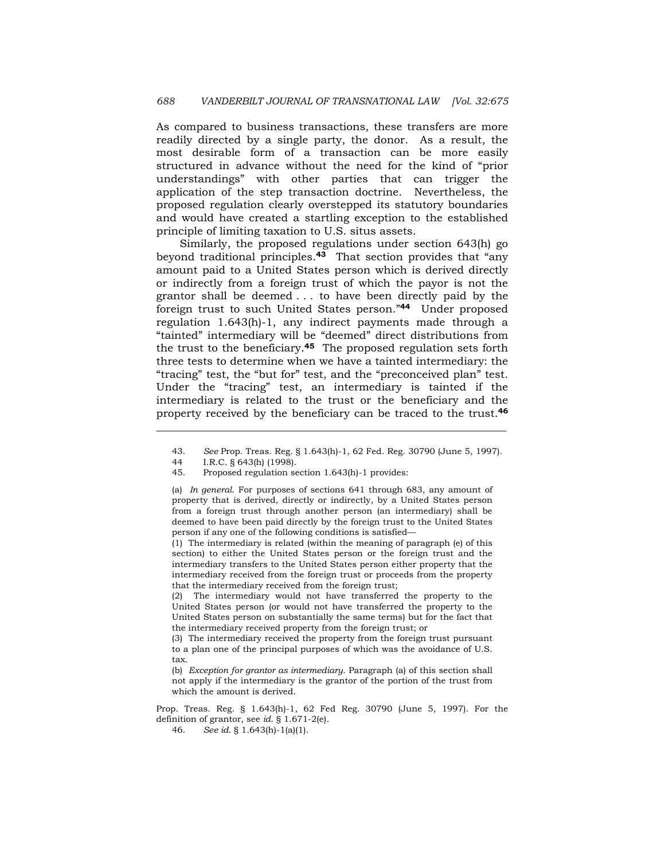As compared to business transactions, these transfers are more readily directed by a single party, the donor. As a result, the most desirable form of a transaction can be more easily structured in advance without the need for the kind of "prior understandings" with other parties that can trigger the application of the step transaction doctrine. Nevertheless, the proposed regulation clearly overstepped its statutory boundaries and would have created a startling exception to the established principle of limiting taxation to U.S. situs assets.

 Similarly, the proposed regulations under section 643(h) go beyond traditional principles.**43** That section provides that "any amount paid to a United States person which is derived directly or indirectly from a foreign trust of which the payor is not the grantor shall be deemed . . . to have been directly paid by the foreign trust to such United States person."**44** Under proposed regulation 1.643(h)-1, any indirect payments made through a "tainted" intermediary will be "deemed" direct distributions from the trust to the beneficiary.**45** The proposed regulation sets forth three tests to determine when we have a tainted intermediary: the "tracing" test, the "but for" test, and the "preconceived plan" test. Under the "tracing" test, an intermediary is tainted if the intermediary is related to the trust or the beneficiary and the property received by the beneficiary can be traced to the trust.**<sup>46</sup>**

\_\_\_\_\_\_\_\_\_\_\_\_\_\_\_\_\_\_\_\_\_\_\_\_\_\_\_\_\_\_\_\_\_\_\_\_\_\_\_\_\_\_\_\_\_\_\_\_\_\_\_\_\_\_\_\_\_\_\_\_\_\_\_\_

(1) The intermediary is related (within the meaning of paragraph (e) of this section) to either the United States person or the foreign trust and the intermediary transfers to the United States person either property that the intermediary received from the foreign trust or proceeds from the property that the intermediary received from the foreign trust;

The intermediary would not have transferred the property to the United States person (or would not have transferred the property to the United States person on substantially the same terms) but for the fact that the intermediary received property from the foreign trust; or

(3) The intermediary received the property from the foreign trust pursuant to a plan one of the principal purposes of which was the avoidance of U.S. tax.

(b) *Exception for grantor as intermediary*. Paragraph (a) of this section shall not apply if the intermediary is the grantor of the portion of the trust from which the amount is derived.

Prop. Treas. Reg. § 1.643(h)-1, 62 Fed Reg. 30790 (June 5, 1997). For the definition of grantor, see *id*. § 1.671-2(e).

46. *See id*. § 1.643(h)-1(a)(1).

 <sup>43.</sup> *See* Prop. Treas. Reg. § 1.643(h)-1, 62 Fed. Reg. 30790 (June 5, 1997).

 <sup>44</sup> I.R.C. § 643(h) (1998).

 <sup>45.</sup> Proposed regulation section 1.643(h)-1 provides:

<sup>(</sup>a) *In general*. For purposes of sections 641 through 683, any amount of property that is derived, directly or indirectly, by a United States person from a foreign trust through another person (an intermediary) shall be deemed to have been paid directly by the foreign trust to the United States person if any one of the following conditions is satisfied—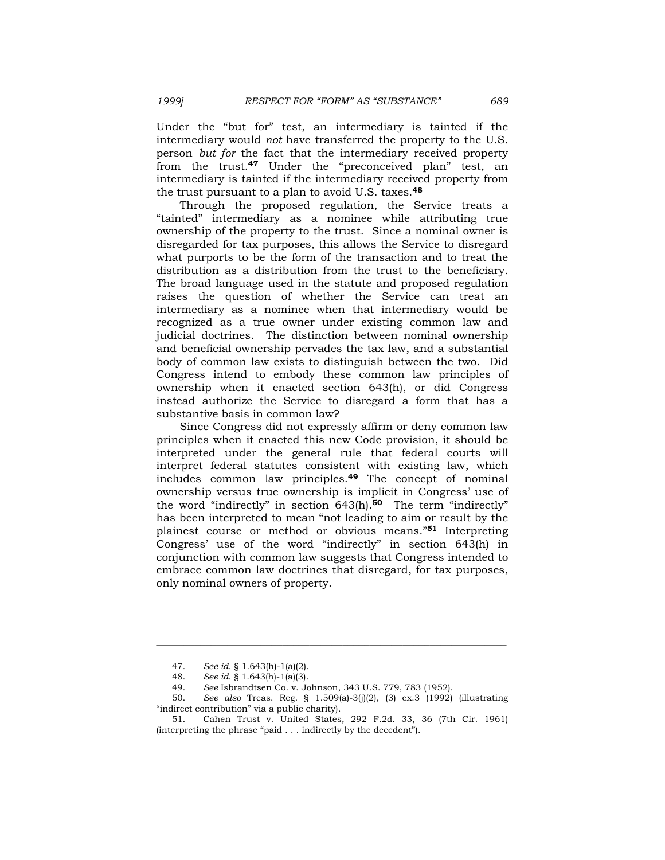Under the "but for" test, an intermediary is tainted if the intermediary would *not* have transferred the property to the U.S. person *but for* the fact that the intermediary received property from the trust.**47** Under the "preconceived plan" test, an intermediary is tainted if the intermediary received property from the trust pursuant to a plan to avoid U.S. taxes.**<sup>48</sup>**

 Through the proposed regulation, the Service treats a "tainted" intermediary as a nominee while attributing true ownership of the property to the trust. Since a nominal owner is disregarded for tax purposes, this allows the Service to disregard what purports to be the form of the transaction and to treat the distribution as a distribution from the trust to the beneficiary. The broad language used in the statute and proposed regulation raises the question of whether the Service can treat an intermediary as a nominee when that intermediary would be recognized as a true owner under existing common law and judicial doctrines. The distinction between nominal ownership and beneficial ownership pervades the tax law, and a substantial body of common law exists to distinguish between the two. Did Congress intend to embody these common law principles of ownership when it enacted section 643(h), or did Congress instead authorize the Service to disregard a form that has a substantive basis in common law?

 Since Congress did not expressly affirm or deny common law principles when it enacted this new Code provision, it should be interpreted under the general rule that federal courts will interpret federal statutes consistent with existing law, which includes common law principles.**49** The concept of nominal ownership versus true ownership is implicit in Congress' use of the word "indirectly" in section 643(h).**50** The term "indirectly" has been interpreted to mean "not leading to aim or result by the plainest course or method or obvious means."**51** Interpreting Congress' use of the word "indirectly" in section 643(h) in conjunction with common law suggests that Congress intended to embrace common law doctrines that disregard, for tax purposes, only nominal owners of property.

 <sup>47.</sup> *See id*. § 1.643(h)-1(a)(2).

 <sup>48.</sup> *See id*. § 1.643(h)-1(a)(3).

 <sup>49.</sup> *See* Isbrandtsen Co. v. Johnson, 343 U.S. 779, 783 (1952).

 <sup>50.</sup> *See also* Treas. Reg. § 1.509(a)-3(j)(2), (3) ex.3 (1992) (illustrating "indirect contribution" via a public charity).

 <sup>51.</sup> Cahen Trust v. United States, 292 F.2d. 33, 36 (7th Cir. 1961) (interpreting the phrase "paid . . . indirectly by the decedent").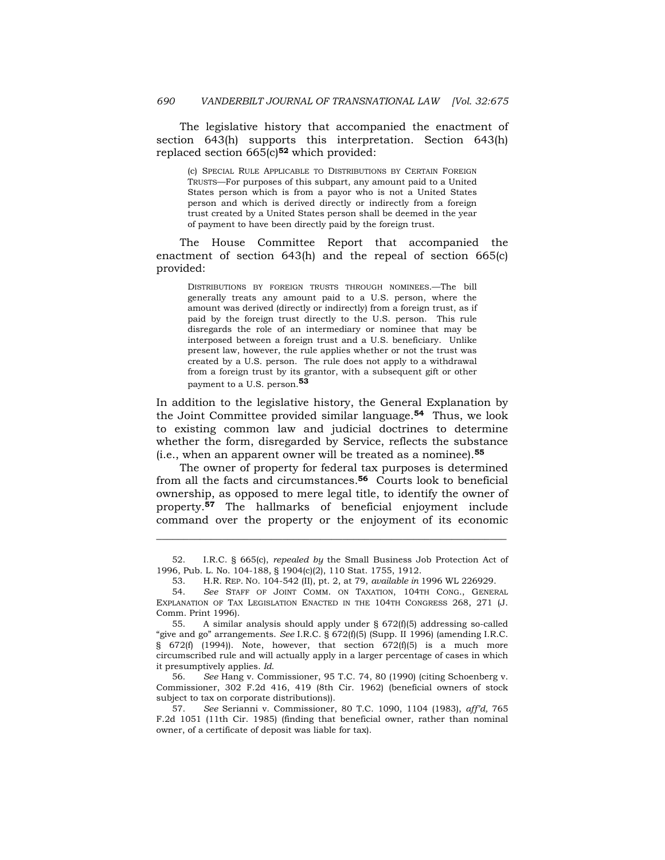The legislative history that accompanied the enactment of section 643(h) supports this interpretation. Section 643(h) replaced section 665(c)**52** which provided:

(c) SPECIAL RULE APPLICABLE TO DISTRIBUTIONS BY CERTAIN FOREIGN TRUSTS—For purposes of this subpart, any amount paid to a United States person which is from a payor who is not a United States person and which is derived directly or indirectly from a foreign trust created by a United States person shall be deemed in the year of payment to have been directly paid by the foreign trust.

 The House Committee Report that accompanied the enactment of section 643(h) and the repeal of section 665(c) provided:

DISTRIBUTIONS BY FOREIGN TRUSTS THROUGH NOMINEES.—The bill generally treats any amount paid to a U.S. person, where the amount was derived (directly or indirectly) from a foreign trust, as if paid by the foreign trust directly to the U.S. person. This rule disregards the role of an intermediary or nominee that may be interposed between a foreign trust and a U.S. beneficiary. Unlike present law, however, the rule applies whether or not the trust was created by a U.S. person. The rule does not apply to a withdrawal from a foreign trust by its grantor, with a subsequent gift or other payment to a U.S. person.**<sup>53</sup>**

In addition to the legislative history, the General Explanation by the Joint Committee provided similar language.**54** Thus, we look to existing common law and judicial doctrines to determine whether the form, disregarded by Service, reflects the substance (i.e., when an apparent owner will be treated as a nominee).**<sup>55</sup>**

 The owner of property for federal tax purposes is determined from all the facts and circumstances.**56** Courts look to beneficial ownership, as opposed to mere legal title, to identify the owner of property.**57** The hallmarks of beneficial enjoyment include command over the property or the enjoyment of its economic

\_\_\_\_\_\_\_\_\_\_\_\_\_\_\_\_\_\_\_\_\_\_\_\_\_\_\_\_\_\_\_\_\_\_\_\_\_\_\_\_\_\_\_\_\_\_\_\_\_\_\_\_\_\_\_\_\_\_\_\_\_\_\_\_

 56. *See* Hang v. Commissioner, 95 T.C. 74, 80 (1990) (citing Schoenberg v. Commissioner, 302 F.2d 416, 419 (8th Cir. 1962) (beneficial owners of stock subject to tax on corporate distributions)).

 57. *See* Serianni v. Commissioner, 80 T.C. 1090, 1104 (1983), *aff'd,* 765 F.2d 1051 (11th Cir. 1985) (finding that beneficial owner, rather than nominal owner, of a certificate of deposit was liable for tax).

 <sup>52.</sup> I.R.C. § 665(c), *repealed by* the Small Business Job Protection Act of 1996, Pub. L. No. 104-188, § 1904(c)(2), 110 Stat. 1755, 1912.

 <sup>53.</sup> H.R. REP. NO. 104-542 (II), pt. 2, at 79, *available in* 1996 WL 226929.

 <sup>54.</sup> *See* STAFF OF JOINT COMM. ON TAXATION, 104TH CONG., GENERAL EXPLANATION OF TAX LEGISLATION ENACTED IN THE 104TH CONGRESS 268, 271 (J. Comm. Print 1996).

<sup>55.</sup> A similar analysis should apply under  $\S$  672(f)(5) addressing so-called "give and go" arrangements. *See* I.R.C. § 672(f)(5) (Supp. II 1996) (amending I.R.C. § 672(f) (1994)). Note, however, that section 672(f)(5) is a much more circumscribed rule and will actually apply in a larger percentage of cases in which it presumptively applies. *Id*.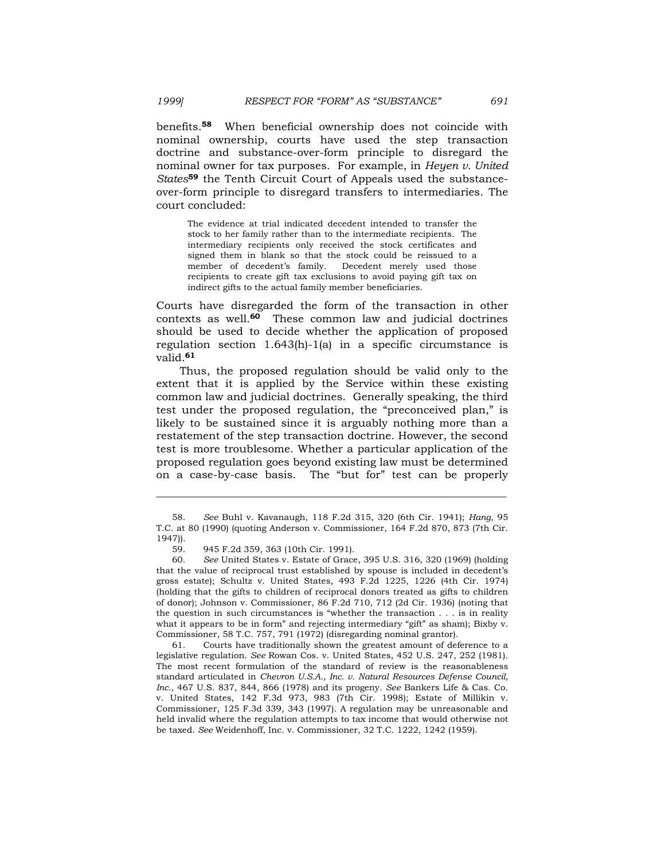benefits.**58** When beneficial ownership does not coincide with nominal ownership, courts have used the step transaction doctrine and substance-over-form principle to disregard the nominal owner for tax purposes. For example, in *Heyen v. United States***59** the Tenth Circuit Court of Appeals used the substanceover-form principle to disregard transfers to intermediaries. The court concluded:

The evidence at trial indicated decedent intended to transfer the stock to her family rather than to the intermediate recipients. The intermediary recipients only received the stock certificates and signed them in blank so that the stock could be reissued to a member of decedent's family. Decedent merely used those recipients to create gift tax exclusions to avoid paying gift tax on indirect gifts to the actual family member beneficiaries.

Courts have disregarded the form of the transaction in other contexts as well.**60** These common law and judicial doctrines should be used to decide whether the application of proposed regulation section 1.643(h)-1(a) in a specific circumstance is valid.**<sup>61</sup>**

 Thus, the proposed regulation should be valid only to the extent that it is applied by the Service within these existing common law and judicial doctrines. Generally speaking, the third test under the proposed regulation, the "preconceived plan," is likely to be sustained since it is arguably nothing more than a restatement of the step transaction doctrine. However, the second test is more troublesome. Whether a particular application of the proposed regulation goes beyond existing law must be determined on a case-by-case basis. The "but for" test can be properly

\_\_\_\_\_\_\_\_\_\_\_\_\_\_\_\_\_\_\_\_\_\_\_\_\_\_\_\_\_\_\_\_\_\_\_\_\_\_\_\_\_\_\_\_\_\_\_\_\_\_\_\_\_\_\_\_\_\_\_\_\_\_\_\_

 61. Courts have traditionally shown the greatest amount of deference to a legislative regulation. *See* Rowan Cos. v. United States, 452 U.S. 247, 252 (1981). The most recent formulation of the standard of review is the reasonableness standard articulated in *Chevron U.S.A., Inc. v. Natural Resources Defense Council, Inc.*, 467 U.S. 837, 844, 866 (1978) and its progeny. *See* Bankers Life & Cas. Co. v. United States, 142 F.3d 973, 983 (7th Cir. 1998); Estate of Millikin v. Commissioner, 125 F.3d 339, 343 (1997). A regulation may be unreasonable and held invalid where the regulation attempts to tax income that would otherwise not be taxed. *See* Weidenhoff, Inc. v. Commissioner, 32 T.C. 1222, 1242 (1959).

 <sup>58.</sup> *See* Buhl v. Kavanaugh, 118 F.2d 315, 320 (6th Cir. 1941); *Hang*, 95 T.C. at 80 (1990) (quoting Anderson v. Commissioner, 164 F.2d 870, 873 (7th Cir. 1947)).

 <sup>59. 945</sup> F.2d 359, 363 (10th Cir. 1991).

 <sup>60.</sup> *See* United States v. Estate of Grace, 395 U.S. 316, 320 (1969) (holding that the value of reciprocal trust established by spouse is included in decedent's gross estate); Schultz v. United States, 493 F.2d 1225, 1226 (4th Cir. 1974) (holding that the gifts to children of reciprocal donors treated as gifts to children of donor); Johnson v. Commissioner, 86 F.2d 710, 712 (2d Cir. 1936) (noting that the question in such circumstances is "whether the transaction . . . is in reality what it appears to be in form" and rejecting intermediary "gift" as sham); Bixby v. Commissioner, 58 T.C. 757, 791 (1972) (disregarding nominal grantor).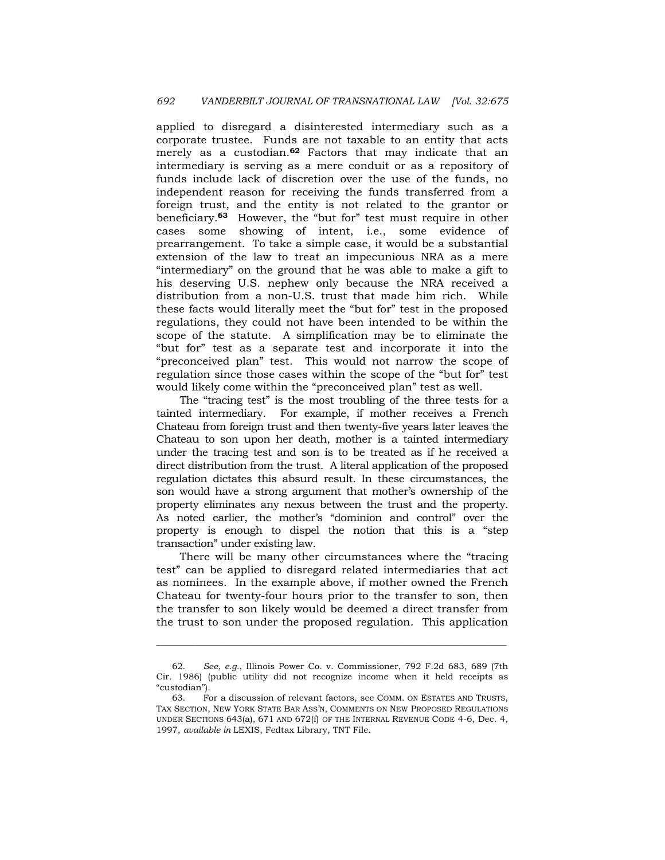applied to disregard a disinterested intermediary such as a corporate trustee. Funds are not taxable to an entity that acts merely as a custodian.**62** Factors that may indicate that an intermediary is serving as a mere conduit or as a repository of funds include lack of discretion over the use of the funds, no independent reason for receiving the funds transferred from a foreign trust, and the entity is not related to the grantor or beneficiary.**63** However, the "but for" test must require in other cases some showing of intent, i.e., some evidence of prearrangement. To take a simple case, it would be a substantial extension of the law to treat an impecunious NRA as a mere "intermediary" on the ground that he was able to make a gift to his deserving U.S. nephew only because the NRA received a distribution from a non-U.S. trust that made him rich. While these facts would literally meet the "but for" test in the proposed regulations, they could not have been intended to be within the scope of the statute. A simplification may be to eliminate the "but for" test as a separate test and incorporate it into the "preconceived plan" test. This would not narrow the scope of regulation since those cases within the scope of the "but for" test would likely come within the "preconceived plan" test as well.

 The "tracing test" is the most troubling of the three tests for a tainted intermediary. For example, if mother receives a French Chateau from foreign trust and then twenty-five years later leaves the Chateau to son upon her death, mother is a tainted intermediary under the tracing test and son is to be treated as if he received a direct distribution from the trust. A literal application of the proposed regulation dictates this absurd result. In these circumstances, the son would have a strong argument that mother's ownership of the property eliminates any nexus between the trust and the property. As noted earlier, the mother's "dominion and control" over the property is enough to dispel the notion that this is a "step transaction" under existing law.

 There will be many other circumstances where the "tracing test" can be applied to disregard related intermediaries that act as nominees. In the example above, if mother owned the French Chateau for twenty-four hours prior to the transfer to son, then the transfer to son likely would be deemed a direct transfer from the trust to son under the proposed regulation. This application

 <sup>62.</sup> *See, e.g.*, Illinois Power Co. v. Commissioner, 792 F.2d 683, 689 (7th Cir. 1986) (public utility did not recognize income when it held receipts as "custodian").

 <sup>63.</sup> For a discussion of relevant factors, see COMM. ON ESTATES AND TRUSTS, TAX SECTION, NEW YORK STATE BAR ASS'N, COMMENTS ON NEW PROPOSED REGULATIONS UNDER SECTIONS 643(a), 671 AND 672(f) OF THE INTERNAL REVENUE CODE 4-6, Dec. 4, 1997, *available in* LEXIS, Fedtax Library, TNT File.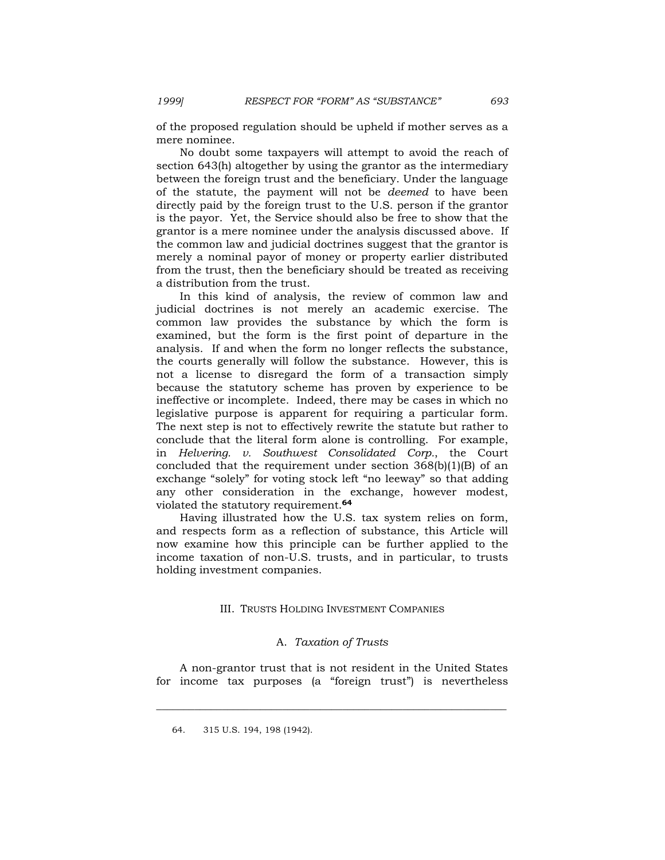of the proposed regulation should be upheld if mother serves as a mere nominee.

 No doubt some taxpayers will attempt to avoid the reach of section 643(h) altogether by using the grantor as the intermediary between the foreign trust and the beneficiary. Under the language of the statute, the payment will not be *deemed* to have been directly paid by the foreign trust to the U.S. person if the grantor is the payor. Yet, the Service should also be free to show that the grantor is a mere nominee under the analysis discussed above. If the common law and judicial doctrines suggest that the grantor is merely a nominal payor of money or property earlier distributed from the trust, then the beneficiary should be treated as receiving a distribution from the trust.

 In this kind of analysis, the review of common law and judicial doctrines is not merely an academic exercise. The common law provides the substance by which the form is examined, but the form is the first point of departure in the analysis. If and when the form no longer reflects the substance, the courts generally will follow the substance. However, this is not a license to disregard the form of a transaction simply because the statutory scheme has proven by experience to be ineffective or incomplete. Indeed, there may be cases in which no legislative purpose is apparent for requiring a particular form. The next step is not to effectively rewrite the statute but rather to conclude that the literal form alone is controlling. For example, in *Helvering. v. Southwest Consolidated Corp.*, the Court concluded that the requirement under section 368(b)(1)(B) of an exchange "solely" for voting stock left "no leeway" so that adding any other consideration in the exchange, however modest, violated the statutory requirement.**<sup>64</sup>**

 Having illustrated how the U.S. tax system relies on form, and respects form as a reflection of substance, this Article will now examine how this principle can be further applied to the income taxation of non-U.S. trusts, and in particular, to trusts holding investment companies.

# III. TRUSTS HOLDING INVESTMENT COMPANIES

### A. *Taxation of Trusts*

 A non-grantor trust that is not resident in the United States for income tax purposes (a "foreign trust") is nevertheless

 <sup>64. 315</sup> U.S. 194, 198 (1942).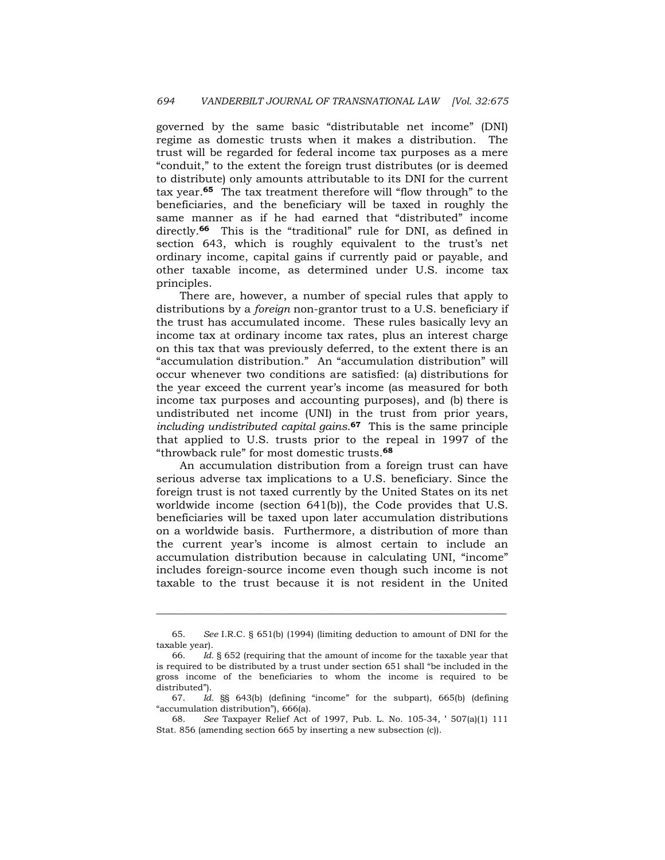governed by the same basic "distributable net income" (DNI) regime as domestic trusts when it makes a distribution. The trust will be regarded for federal income tax purposes as a mere "conduit," to the extent the foreign trust distributes (or is deemed to distribute) only amounts attributable to its DNI for the current tax year.**65** The tax treatment therefore will "flow through" to the beneficiaries, and the beneficiary will be taxed in roughly the same manner as if he had earned that "distributed" income directly.**66** This is the "traditional" rule for DNI, as defined in section 643, which is roughly equivalent to the trust's net ordinary income, capital gains if currently paid or payable, and other taxable income, as determined under U.S. income tax principles.

 There are, however, a number of special rules that apply to distributions by a *foreign* non-grantor trust to a U.S. beneficiary if the trust has accumulated income. These rules basically levy an income tax at ordinary income tax rates, plus an interest charge on this tax that was previously deferred, to the extent there is an "accumulation distribution." An "accumulation distribution" will occur whenever two conditions are satisfied: (a) distributions for the year exceed the current year's income (as measured for both income tax purposes and accounting purposes), and (b) there is undistributed net income (UNI) in the trust from prior years, *including undistributed capital gains*.**67** This is the same principle that applied to U.S. trusts prior to the repeal in 1997 of the "throwback rule" for most domestic trusts.**<sup>68</sup>**

 An accumulation distribution from a foreign trust can have serious adverse tax implications to a U.S. beneficiary. Since the foreign trust is not taxed currently by the United States on its net worldwide income (section 641(b)), the Code provides that U.S. beneficiaries will be taxed upon later accumulation distributions on a worldwide basis. Furthermore, a distribution of more than the current year's income is almost certain to include an accumulation distribution because in calculating UNI, "income" includes foreign-source income even though such income is not taxable to the trust because it is not resident in the United

<sup>65.</sup> *See* I.R.C. § 651(b) (1994) (limiting deduction to amount of DNI for the taxable year).

 <sup>66.</sup> *Id.* § 652 (requiring that the amount of income for the taxable year that is required to be distributed by a trust under section 651 shall "be included in the gross income of the beneficiaries to whom the income is required to be distributed").

<sup>67.</sup> *Id.* §§ 643(b) (defining "income" for the subpart), 665(b) (defining "accumulation distribution"), 666(a).

 <sup>68.</sup> *See* Taxpayer Relief Act of 1997, Pub. L. No. 105-34, ' 507(a)(1) 111 Stat. 856 (amending section 665 by inserting a new subsection (c)).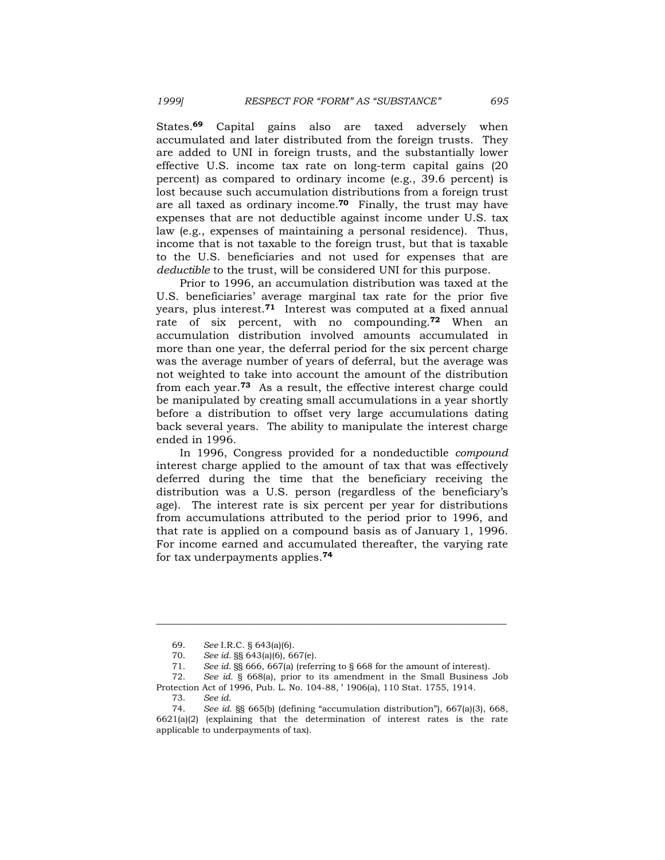States.**69** Capital gains also are taxed adversely when accumulated and later distributed from the foreign trusts. They are added to UNI in foreign trusts, and the substantially lower effective U.S. income tax rate on long-term capital gains (20 percent) as compared to ordinary income (e.g., 39.6 percent) is lost because such accumulation distributions from a foreign trust are all taxed as ordinary income.**70** Finally, the trust may have expenses that are not deductible against income under U.S. tax law (e.g., expenses of maintaining a personal residence). Thus, income that is not taxable to the foreign trust, but that is taxable to the U.S. beneficiaries and not used for expenses that are *deductible* to the trust, will be considered UNI for this purpose.

 Prior to 1996, an accumulation distribution was taxed at the U.S. beneficiaries' average marginal tax rate for the prior five years, plus interest.**71** Interest was computed at a fixed annual rate of six percent, with no compounding.**72** When an accumulation distribution involved amounts accumulated in more than one year, the deferral period for the six percent charge was the average number of years of deferral, but the average was not weighted to take into account the amount of the distribution from each year.**73** As a result, the effective interest charge could be manipulated by creating small accumulations in a year shortly before a distribution to offset very large accumulations dating back several years. The ability to manipulate the interest charge ended in 1996.

 In 1996, Congress provided for a nondeductible *compound* interest charge applied to the amount of tax that was effectively deferred during the time that the beneficiary receiving the distribution was a U.S. person (regardless of the beneficiary's age). The interest rate is six percent per year for distributions from accumulations attributed to the period prior to 1996, and that rate is applied on a compound basis as of January 1, 1996. For income earned and accumulated thereafter, the varying rate for tax underpayments applies.**<sup>74</sup>**

 <sup>69.</sup> *See* I.R.C. § 643(a)(6).

 <sup>70.</sup> *See id.* §§ 643(a)(6), 667(e).

 <sup>71.</sup> *See id.* §§ 666, 667(a) (referring to § 668 for the amount of interest).

 <sup>72.</sup> *See id.* § 668(a), prior to its amendment in the Small Business Job Protection Act of 1996, Pub. L. No. 104-88, ' 1906(a), 110 Stat. 1755, 1914.

 <sup>73.</sup> *See id*.

 <sup>74.</sup> *See id.* §§ 665(b) (defining "accumulation distribution"), 667(a)(3), 668,  $6621(a)(2)$  (explaining that the determination of interest rates is the rate applicable to underpayments of tax).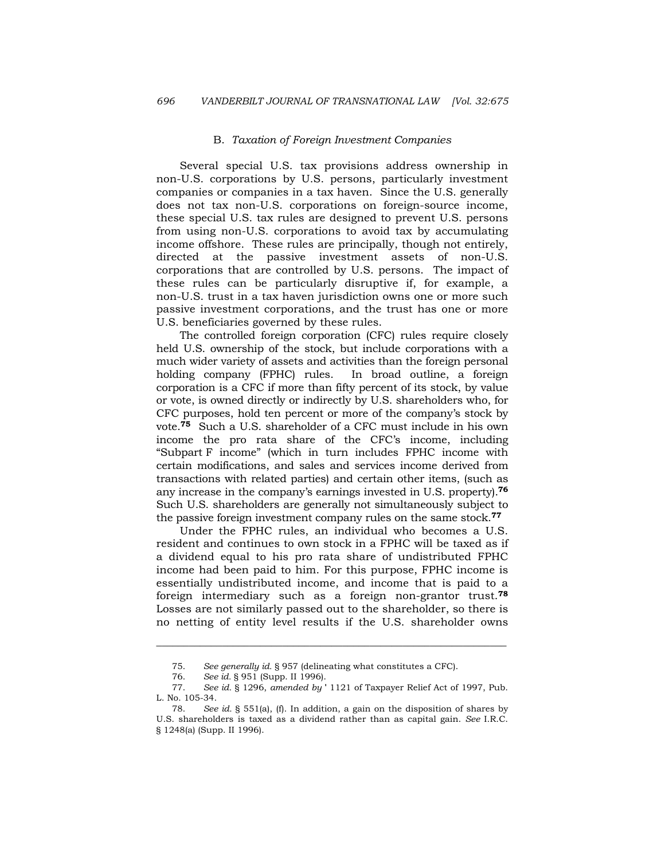#### B. *Taxation of Foreign Investment Companies*

 Several special U.S. tax provisions address ownership in non-U.S. corporations by U.S. persons, particularly investment companies or companies in a tax haven. Since the U.S. generally does not tax non-U.S. corporations on foreign-source income, these special U.S. tax rules are designed to prevent U.S. persons from using non-U.S. corporations to avoid tax by accumulating income offshore. These rules are principally, though not entirely, directed at the passive investment assets of non-U.S. corporations that are controlled by U.S. persons. The impact of these rules can be particularly disruptive if, for example, a non-U.S. trust in a tax haven jurisdiction owns one or more such passive investment corporations, and the trust has one or more U.S. beneficiaries governed by these rules.

 The controlled foreign corporation (CFC) rules require closely held U.S. ownership of the stock, but include corporations with a much wider variety of assets and activities than the foreign personal holding company (FPHC) rules. In broad outline, a foreign corporation is a CFC if more than fifty percent of its stock, by value or vote, is owned directly or indirectly by U.S. shareholders who, for CFC purposes, hold ten percent or more of the company's stock by vote.**75** Such a U.S. shareholder of a CFC must include in his own income the pro rata share of the CFC's income, including "Subpart F income" (which in turn includes FPHC income with certain modifications, and sales and services income derived from transactions with related parties) and certain other items, (such as any increase in the company's earnings invested in U.S. property).**<sup>76</sup>** Such U.S. shareholders are generally not simultaneously subject to the passive foreign investment company rules on the same stock.**<sup>77</sup>**

 Under the FPHC rules, an individual who becomes a U.S. resident and continues to own stock in a FPHC will be taxed as if a dividend equal to his pro rata share of undistributed FPHC income had been paid to him. For this purpose, FPHC income is essentially undistributed income, and income that is paid to a foreign intermediary such as a foreign non-grantor trust.**<sup>78</sup>** Losses are not similarly passed out to the shareholder, so there is no netting of entity level results if the U.S. shareholder owns

 <sup>75.</sup> *See generally id.* § 957 (delineating what constitutes a CFC).

 <sup>76.</sup> *See id.* § 951 (Supp. II 1996).

 <sup>77.</sup> *See id.* § 1296, *amended by* ' 1121 of Taxpayer Relief Act of 1997, Pub. L. No. 105-34.

 <sup>78.</sup> *See id.* § 551(a), (f). In addition, a gain on the disposition of shares by U.S. shareholders is taxed as a dividend rather than as capital gain. *See* I.R.C. § 1248(a) (Supp. II 1996).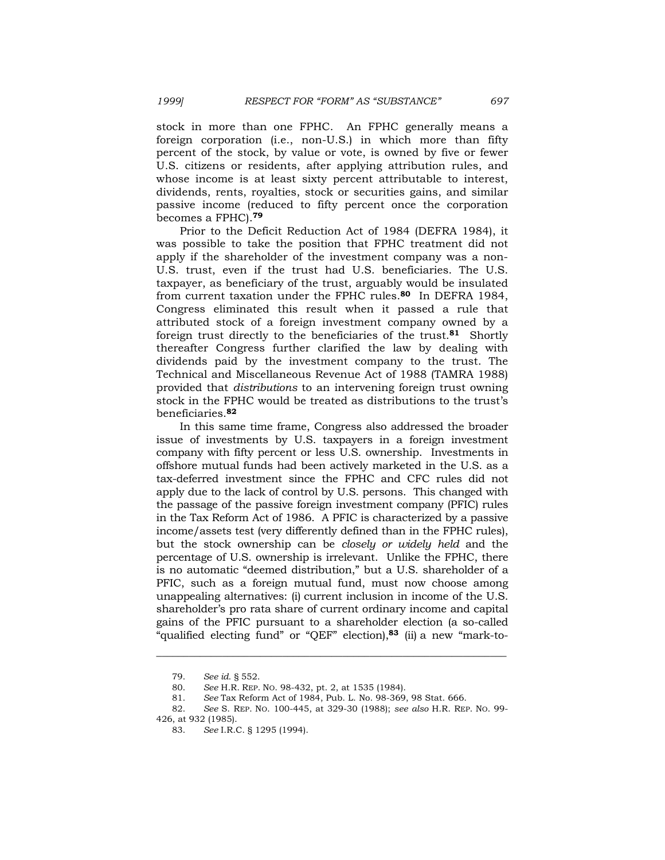stock in more than one FPHC. An FPHC generally means a foreign corporation (i.e., non-U.S.) in which more than fifty percent of the stock, by value or vote, is owned by five or fewer U.S. citizens or residents, after applying attribution rules, and whose income is at least sixty percent attributable to interest, dividends, rents, royalties, stock or securities gains, and similar passive income (reduced to fifty percent once the corporation becomes a FPHC).**<sup>79</sup>**

 Prior to the Deficit Reduction Act of 1984 (DEFRA 1984), it was possible to take the position that FPHC treatment did not apply if the shareholder of the investment company was a non-U.S. trust, even if the trust had U.S. beneficiaries. The U.S. taxpayer, as beneficiary of the trust, arguably would be insulated from current taxation under the FPHC rules.**80** In DEFRA 1984, Congress eliminated this result when it passed a rule that attributed stock of a foreign investment company owned by a foreign trust directly to the beneficiaries of the trust.**81** Shortly thereafter Congress further clarified the law by dealing with dividends paid by the investment company to the trust. The Technical and Miscellaneous Revenue Act of 1988 (TAMRA 1988) provided that *distributions* to an intervening foreign trust owning stock in the FPHC would be treated as distributions to the trust's beneficiaries.**<sup>82</sup>**

 In this same time frame, Congress also addressed the broader issue of investments by U.S. taxpayers in a foreign investment company with fifty percent or less U.S. ownership. Investments in offshore mutual funds had been actively marketed in the U.S. as a tax-deferred investment since the FPHC and CFC rules did not apply due to the lack of control by U.S. persons. This changed with the passage of the passive foreign investment company (PFIC) rules in the Tax Reform Act of 1986. A PFIC is characterized by a passive income/assets test (very differently defined than in the FPHC rules), but the stock ownership can be *closely or widely held* and the percentage of U.S. ownership is irrelevant. Unlike the FPHC, there is no automatic "deemed distribution," but a U.S. shareholder of a PFIC, such as a foreign mutual fund, must now choose among unappealing alternatives: (i) current inclusion in income of the U.S. shareholder's pro rata share of current ordinary income and capital gains of the PFIC pursuant to a shareholder election (a so-called "qualified electing fund" or "QEF" election),**83** (ii) a new "mark-to-

 <sup>79.</sup> *See id*. § 552.

 <sup>80.</sup> *See* H.R. REP. NO. 98-432, pt. 2, at 1535 (1984).

 <sup>81.</sup> *See* Tax Reform Act of 1984, Pub. L. No. 98-369, 98 Stat. 666.

 <sup>82.</sup> *See* S. REP. NO. 100-445, at 329-30 (1988); *see also* H.R. REP. NO. 99-

<sup>426,</sup> at 932 (1985).

 <sup>83.</sup> *See* I.R.C. § 1295 (1994).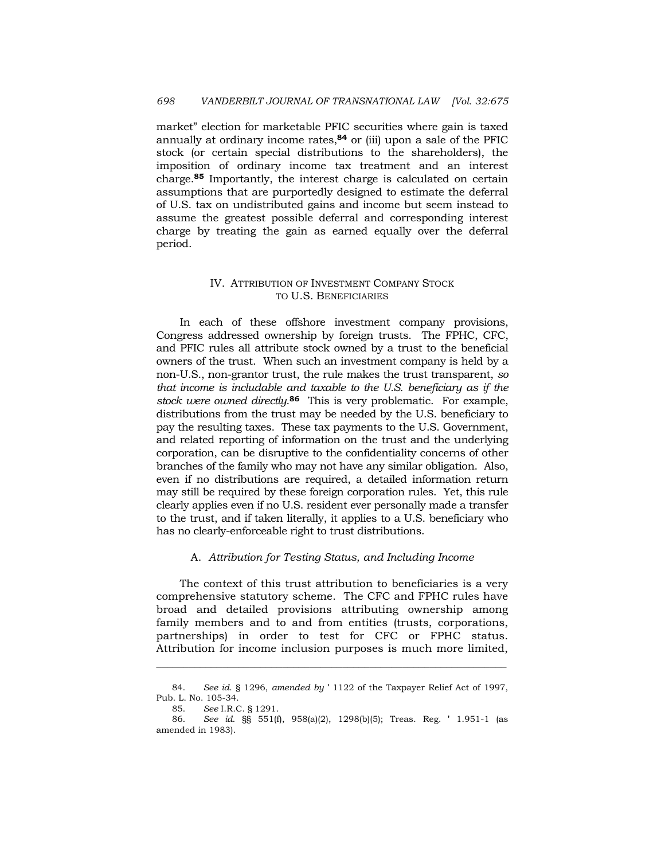market" election for marketable PFIC securities where gain is taxed annually at ordinary income rates,**84** or (iii) upon a sale of the PFIC stock (or certain special distributions to the shareholders), the imposition of ordinary income tax treatment and an interest charge.**85** Importantly, the interest charge is calculated on certain assumptions that are purportedly designed to estimate the deferral of U.S. tax on undistributed gains and income but seem instead to assume the greatest possible deferral and corresponding interest charge by treating the gain as earned equally over the deferral period.

# IV. ATTRIBUTION OF INVESTMENT COMPANY STOCK TO U.S. BENEFICIARIES

 In each of these offshore investment company provisions, Congress addressed ownership by foreign trusts. The FPHC, CFC, and PFIC rules all attribute stock owned by a trust to the beneficial owners of the trust. When such an investment company is held by a non-U.S., non-grantor trust, the rule makes the trust transparent, *so that income is includable and taxable to the U.S. beneficiary as if the stock were owned directly*. **<sup>86</sup>** This is very problematic. For example, distributions from the trust may be needed by the U.S. beneficiary to pay the resulting taxes. These tax payments to the U.S. Government, and related reporting of information on the trust and the underlying corporation, can be disruptive to the confidentiality concerns of other branches of the family who may not have any similar obligation. Also, even if no distributions are required, a detailed information return may still be required by these foreign corporation rules. Yet, this rule clearly applies even if no U.S. resident ever personally made a transfer to the trust, and if taken literally, it applies to a U.S. beneficiary who has no clearly-enforceable right to trust distributions.

# A. *Attribution for Testing Status, and Including Income*

 The context of this trust attribution to beneficiaries is a very comprehensive statutory scheme. The CFC and FPHC rules have broad and detailed provisions attributing ownership among family members and to and from entities (trusts, corporations, partnerships) in order to test for CFC or FPHC status. Attribution for income inclusion purposes is much more limited,

 <sup>84.</sup> *See id*. § 1296, *amended by* ' 1122 of the Taxpayer Relief Act of 1997, Pub. L. No. 105-34.

<sup>85.</sup> *See* I.R.C. § 1291.

 <sup>86.</sup> *See id*. §§ 551(f), 958(a)(2), 1298(b)(5); Treas. Reg. ' 1.951-1 (as amended in 1983).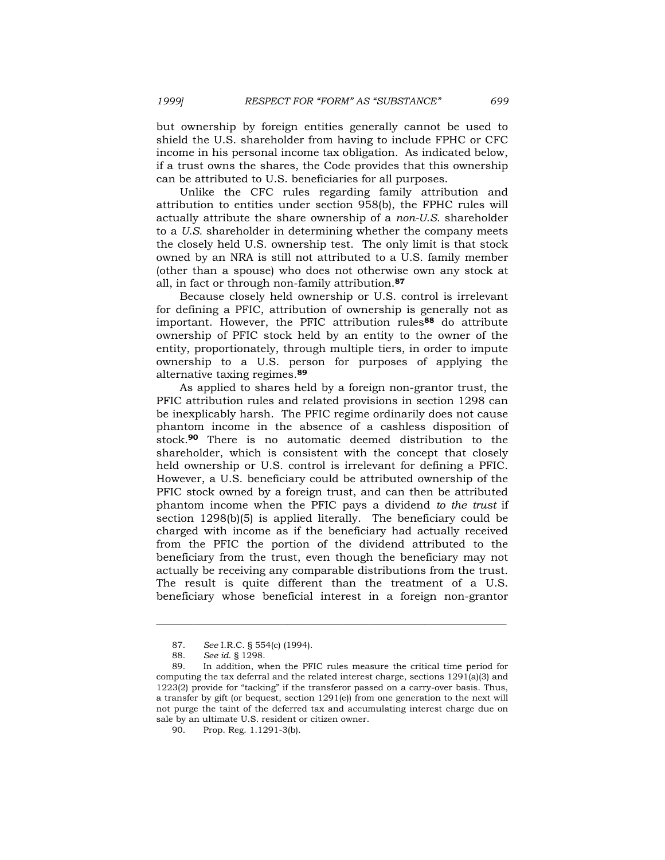but ownership by foreign entities generally cannot be used to shield the U.S. shareholder from having to include FPHC or CFC income in his personal income tax obligation. As indicated below, if a trust owns the shares, the Code provides that this ownership can be attributed to U.S. beneficiaries for all purposes.

 Unlike the CFC rules regarding family attribution and attribution to entities under section 958(b), the FPHC rules will actually attribute the share ownership of a *non-U.S.* shareholder to a *U.S.* shareholder in determining whether the company meets the closely held U.S. ownership test. The only limit is that stock owned by an NRA is still not attributed to a U.S. family member (other than a spouse) who does not otherwise own any stock at all, in fact or through non-family attribution.**<sup>87</sup>**

 Because closely held ownership or U.S. control is irrelevant for defining a PFIC, attribution of ownership is generally not as important. However, the PFIC attribution rules**88** do attribute ownership of PFIC stock held by an entity to the owner of the entity, proportionately, through multiple tiers, in order to impute ownership to a U.S. person for purposes of applying the alternative taxing regimes.**<sup>89</sup>**

 As applied to shares held by a foreign non-grantor trust, the PFIC attribution rules and related provisions in section 1298 can be inexplicably harsh. The PFIC regime ordinarily does not cause phantom income in the absence of a cashless disposition of stock.**90** There is no automatic deemed distribution to the shareholder, which is consistent with the concept that closely held ownership or U.S. control is irrelevant for defining a PFIC. However, a U.S. beneficiary could be attributed ownership of the PFIC stock owned by a foreign trust, and can then be attributed phantom income when the PFIC pays a dividend *to the trust* if section 1298(b)(5) is applied literally. The beneficiary could be charged with income as if the beneficiary had actually received from the PFIC the portion of the dividend attributed to the beneficiary from the trust, even though the beneficiary may not actually be receiving any comparable distributions from the trust. The result is quite different than the treatment of a U.S. beneficiary whose beneficial interest in a foreign non-grantor

 <sup>87.</sup> *See* I.R.C. § 554(c) (1994).

 <sup>88.</sup> *See id*. § 1298.

 <sup>89.</sup> In addition, when the PFIC rules measure the critical time period for computing the tax deferral and the related interest charge, sections 1291(a)(3) and 1223(2) provide for "tacking" if the transferor passed on a carry-over basis. Thus, a transfer by gift (or bequest, section 1291(e)) from one generation to the next will not purge the taint of the deferred tax and accumulating interest charge due on sale by an ultimate U.S. resident or citizen owner.

 <sup>90.</sup> Prop. Reg. 1.1291-3(b).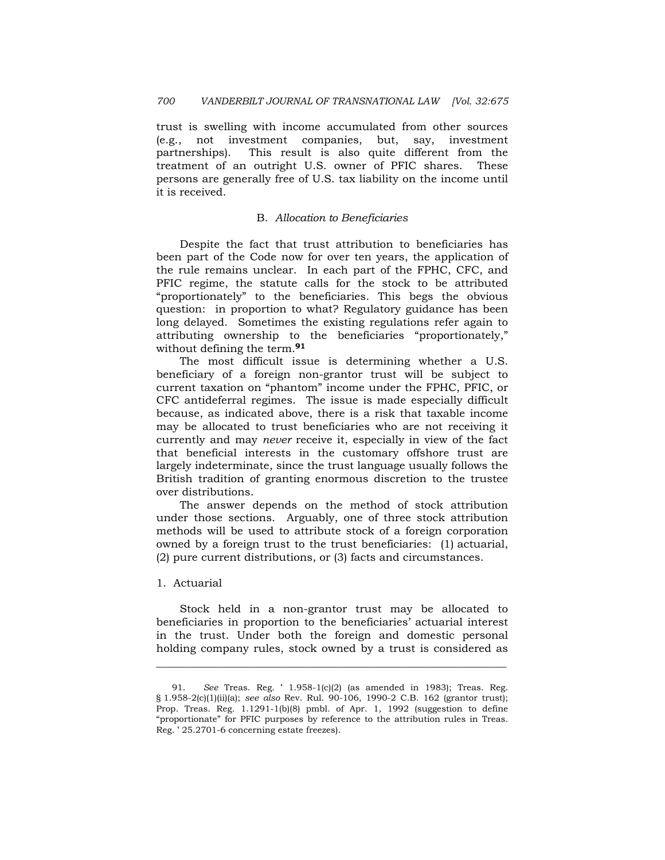trust is swelling with income accumulated from other sources (e.g., not investment companies, but, say, investment partnerships). This result is also quite different from the treatment of an outright U.S. owner of PFIC shares. These persons are generally free of U.S. tax liability on the income until it is received.

### B. *Allocation to Beneficiaries*

 Despite the fact that trust attribution to beneficiaries has been part of the Code now for over ten years, the application of the rule remains unclear. In each part of the FPHC, CFC, and PFIC regime, the statute calls for the stock to be attributed "proportionately" to the beneficiaries. This begs the obvious question: in proportion to what? Regulatory guidance has been long delayed. Sometimes the existing regulations refer again to attributing ownership to the beneficiaries "proportionately," without defining the term.**<sup>91</sup>**

 The most difficult issue is determining whether a U.S. beneficiary of a foreign non-grantor trust will be subject to current taxation on "phantom" income under the FPHC, PFIC, or CFC antideferral regimes. The issue is made especially difficult because, as indicated above, there is a risk that taxable income may be allocated to trust beneficiaries who are not receiving it currently and may *never* receive it, especially in view of the fact that beneficial interests in the customary offshore trust are largely indeterminate, since the trust language usually follows the British tradition of granting enormous discretion to the trustee over distributions.

 The answer depends on the method of stock attribution under those sections. Arguably, one of three stock attribution methods will be used to attribute stock of a foreign corporation owned by a foreign trust to the trust beneficiaries: (1) actuarial, (2) pure current distributions, or (3) facts and circumstances.

### 1. Actuarial

 Stock held in a non-grantor trust may be allocated to beneficiaries in proportion to the beneficiaries' actuarial interest in the trust. Under both the foreign and domestic personal holding company rules, stock owned by a trust is considered as

 <sup>91.</sup> *See* Treas. Reg. ' 1.958-1(c)(2) (as amended in 1983); Treas. Reg. § 1.958-2(c)(1)(ii)(a); *see also* Rev. Rul. 90-106, 1990-2 C.B. 162 (grantor trust); Prop. Treas. Reg.  $1.1291-1(b)(8)$  pmbl. of Apr. 1, 1992 (suggestion to define "proportionate" for PFIC purposes by reference to the attribution rules in Treas. Reg. ' 25.2701-6 concerning estate freezes).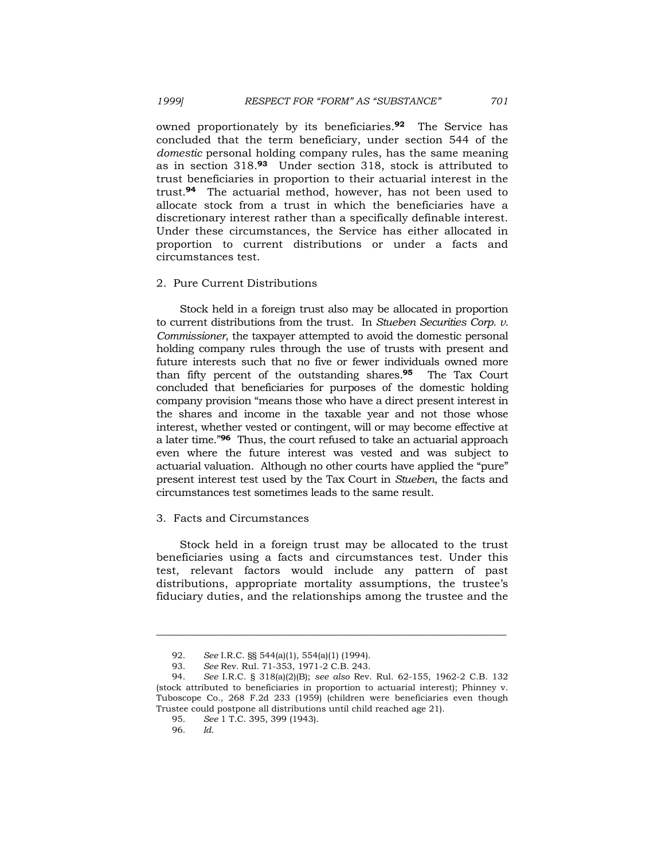owned proportionately by its beneficiaries.**92** The Service has concluded that the term beneficiary, under section 544 of the *domestic* personal holding company rules, has the same meaning as in section 318.**93** Under section 318, stock is attributed to trust beneficiaries in proportion to their actuarial interest in the trust.**94** The actuarial method, however, has not been used to allocate stock from a trust in which the beneficiaries have a discretionary interest rather than a specifically definable interest. Under these circumstances, the Service has either allocated in proportion to current distributions or under a facts and circumstances test.

#### 2. Pure Current Distributions

 Stock held in a foreign trust also may be allocated in proportion to current distributions from the trust. In *Stueben Securities Corp. v. Commissioner*, the taxpayer attempted to avoid the domestic personal holding company rules through the use of trusts with present and future interests such that no five or fewer individuals owned more than fifty percent of the outstanding shares.**95** The Tax Court concluded that beneficiaries for purposes of the domestic holding company provision "means those who have a direct present interest in the shares and income in the taxable year and not those whose interest, whether vested or contingent, will or may become effective at a later time."**96** Thus, the court refused to take an actuarial approach even where the future interest was vested and was subject to actuarial valuation. Although no other courts have applied the "pure" present interest test used by the Tax Court in *Stueben*, the facts and circumstances test sometimes leads to the same result.

### 3. Facts and Circumstances

 Stock held in a foreign trust may be allocated to the trust beneficiaries using a facts and circumstances test. Under this test, relevant factors would include any pattern of past distributions, appropriate mortality assumptions, the trustee's fiduciary duties, and the relationships among the trustee and the

 <sup>92.</sup> *See* I.R.C. §§ 544(a)(1), 554(a)(1) (1994).

 <sup>93.</sup> *See* Rev. Rul. 71-353, 1971-2 C.B. 243.

 <sup>94.</sup> *See* I.R.C. § 318(a)(2)(B); *see also* Rev. Rul. 62-155, 1962-2 C.B. 132 (stock attributed to beneficiaries in proportion to actuarial interest); Phinney v. Tuboscope Co*.*, 268 F.2d 233 (1959) (children were beneficiaries even though Trustee could postpone all distributions until child reached age 21).

 <sup>95.</sup> *See* 1 T.C. 395, 399 (1943).

 <sup>96.</sup> *Id*.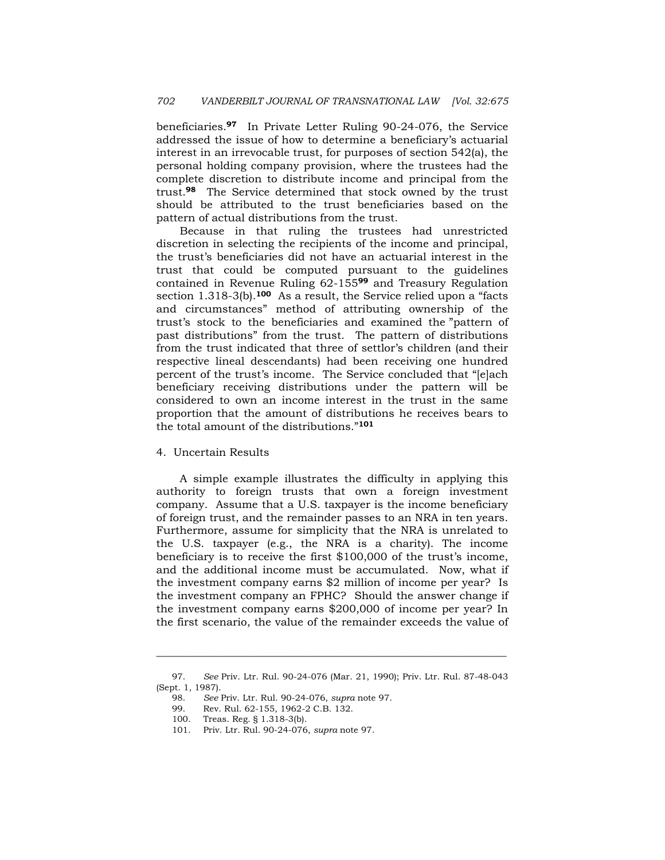beneficiaries.**97** In Private Letter Ruling 90-24-076, the Service addressed the issue of how to determine a beneficiary's actuarial interest in an irrevocable trust, for purposes of section 542(a), the personal holding company provision, where the trustees had the complete discretion to distribute income and principal from the trust.**98** The Service determined that stock owned by the trust should be attributed to the trust beneficiaries based on the pattern of actual distributions from the trust.

 Because in that ruling the trustees had unrestricted discretion in selecting the recipients of the income and principal, the trust's beneficiaries did not have an actuarial interest in the trust that could be computed pursuant to the guidelines contained in Revenue Ruling 62-155**99** and Treasury Regulation section 1.318-3(b).**100** As a result, the Service relied upon a "facts and circumstances" method of attributing ownership of the trust's stock to the beneficiaries and examined the "pattern of past distributions" from the trust. The pattern of distributions from the trust indicated that three of settlor's children (and their respective lineal descendants) had been receiving one hundred percent of the trust's income. The Service concluded that "[e]ach beneficiary receiving distributions under the pattern will be considered to own an income interest in the trust in the same proportion that the amount of distributions he receives bears to the total amount of the distributions."**<sup>101</sup>**

### 4. Uncertain Results

 A simple example illustrates the difficulty in applying this authority to foreign trusts that own a foreign investment company. Assume that a U.S. taxpayer is the income beneficiary of foreign trust, and the remainder passes to an NRA in ten years. Furthermore, assume for simplicity that the NRA is unrelated to the U.S. taxpayer (e.g., the NRA is a charity). The income beneficiary is to receive the first \$100,000 of the trust's income, and the additional income must be accumulated. Now, what if the investment company earns \$2 million of income per year? Is the investment company an FPHC? Should the answer change if the investment company earns \$200,000 of income per year? In the first scenario, the value of the remainder exceeds the value of

 <sup>97.</sup> *See* Priv. Ltr. Rul. 90-24-076 (Mar. 21, 1990); Priv. Ltr. Rul. 87-48-043 (Sept. 1, 1987).

 <sup>98.</sup> *See* Priv. Ltr. Rul. 90-24-076, *supra* note 97.

 <sup>99.</sup> Rev. Rul. 62-155, 1962-2 C.B. 132.

 <sup>100.</sup> Treas. Reg. § 1.318-3(b).

 <sup>101.</sup> Priv. Ltr. Rul. 90-24-076, *supra* note 97.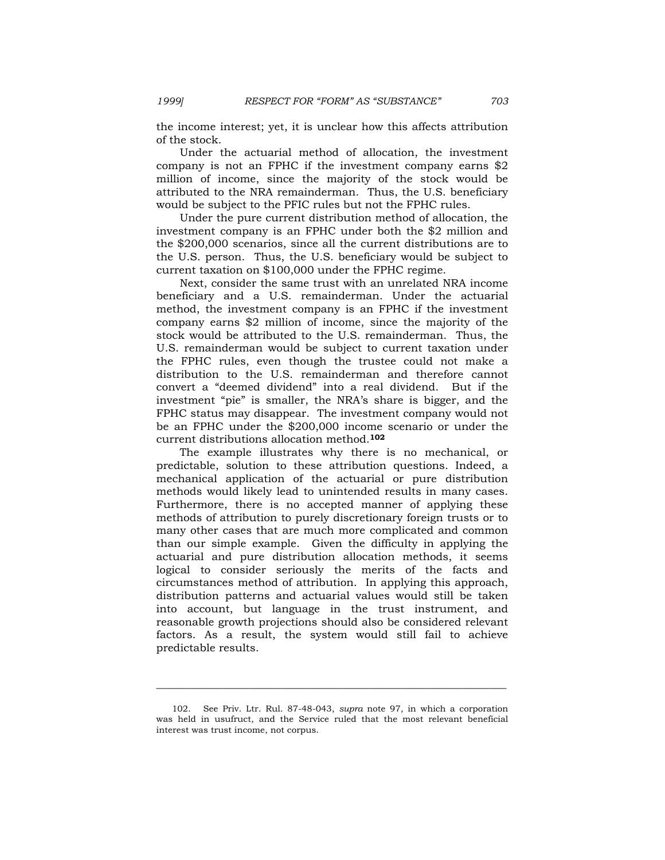the income interest; yet, it is unclear how this affects attribution of the stock.

 Under the actuarial method of allocation, the investment company is not an FPHC if the investment company earns \$2 million of income, since the majority of the stock would be attributed to the NRA remainderman. Thus, the U.S. beneficiary would be subject to the PFIC rules but not the FPHC rules.

 Under the pure current distribution method of allocation, the investment company is an FPHC under both the \$2 million and the \$200,000 scenarios, since all the current distributions are to the U.S. person. Thus, the U.S. beneficiary would be subject to current taxation on \$100,000 under the FPHC regime.

 Next, consider the same trust with an unrelated NRA income beneficiary and a U.S. remainderman. Under the actuarial method, the investment company is an FPHC if the investment company earns \$2 million of income, since the majority of the stock would be attributed to the U.S. remainderman. Thus, the U.S. remainderman would be subject to current taxation under the FPHC rules, even though the trustee could not make a distribution to the U.S. remainderman and therefore cannot convert a "deemed dividend" into a real dividend. But if the investment "pie" is smaller, the NRA's share is bigger, and the FPHC status may disappear. The investment company would not be an FPHC under the \$200,000 income scenario or under the current distributions allocation method.**<sup>102</sup>**

 The example illustrates why there is no mechanical, or predictable, solution to these attribution questions. Indeed, a mechanical application of the actuarial or pure distribution methods would likely lead to unintended results in many cases. Furthermore, there is no accepted manner of applying these methods of attribution to purely discretionary foreign trusts or to many other cases that are much more complicated and common than our simple example. Given the difficulty in applying the actuarial and pure distribution allocation methods, it seems logical to consider seriously the merits of the facts and circumstances method of attribution. In applying this approach, distribution patterns and actuarial values would still be taken into account, but language in the trust instrument, and reasonable growth projections should also be considered relevant factors. As a result, the system would still fail to achieve predictable results.

 <sup>102.</sup> See Priv. Ltr. Rul. 87-48-043, *supra* note 97, in which a corporation was held in usufruct, and the Service ruled that the most relevant beneficial interest was trust income, not corpus.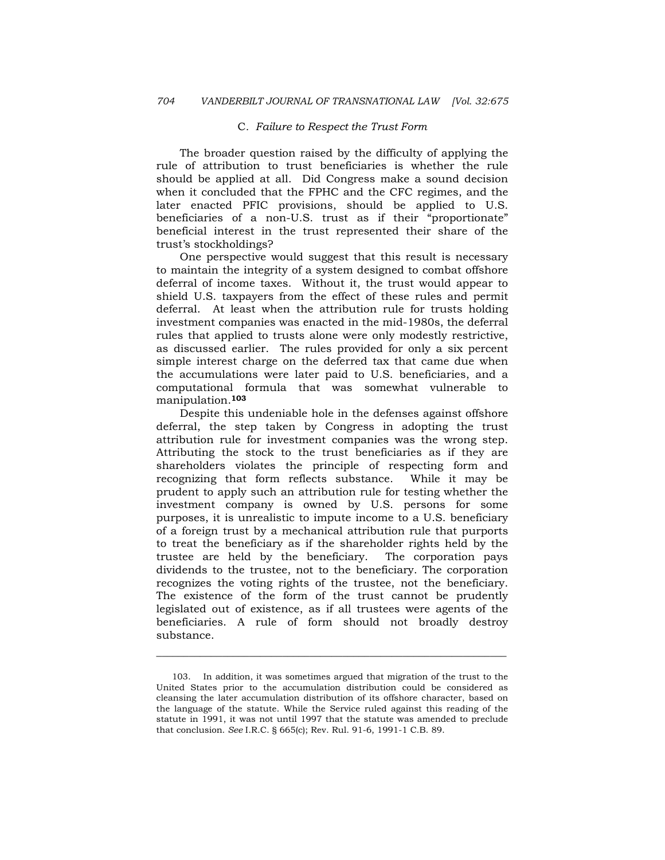### C*. Failure to Respect the Trust Form*

 The broader question raised by the difficulty of applying the rule of attribution to trust beneficiaries is whether the rule should be applied at all. Did Congress make a sound decision when it concluded that the FPHC and the CFC regimes, and the later enacted PFIC provisions, should be applied to U.S. beneficiaries of a non-U.S. trust as if their "proportionate" beneficial interest in the trust represented their share of the trust's stockholdings?

 One perspective would suggest that this result is necessary to maintain the integrity of a system designed to combat offshore deferral of income taxes. Without it, the trust would appear to shield U.S. taxpayers from the effect of these rules and permit deferral. At least when the attribution rule for trusts holding investment companies was enacted in the mid-1980s, the deferral rules that applied to trusts alone were only modestly restrictive, as discussed earlier. The rules provided for only a six percent simple interest charge on the deferred tax that came due when the accumulations were later paid to U.S. beneficiaries, and a computational formula that was somewhat vulnerable to manipulation.**<sup>103</sup>**

 Despite this undeniable hole in the defenses against offshore deferral, the step taken by Congress in adopting the trust attribution rule for investment companies was the wrong step. Attributing the stock to the trust beneficiaries as if they are shareholders violates the principle of respecting form and recognizing that form reflects substance. While it may be prudent to apply such an attribution rule for testing whether the investment company is owned by U.S. persons for some purposes, it is unrealistic to impute income to a U.S. beneficiary of a foreign trust by a mechanical attribution rule that purports to treat the beneficiary as if the shareholder rights held by the trustee are held by the beneficiary. The corporation pays dividends to the trustee, not to the beneficiary. The corporation recognizes the voting rights of the trustee, not the beneficiary. The existence of the form of the trust cannot be prudently legislated out of existence, as if all trustees were agents of the beneficiaries. A rule of form should not broadly destroy substance.

 <sup>103.</sup> In addition, it was sometimes argued that migration of the trust to the United States prior to the accumulation distribution could be considered as cleansing the later accumulation distribution of its offshore character, based on the language of the statute. While the Service ruled against this reading of the statute in 1991, it was not until 1997 that the statute was amended to preclude that conclusion. *See* I.R.C. § 665(c); Rev. Rul. 91-6, 1991-1 C.B. 89.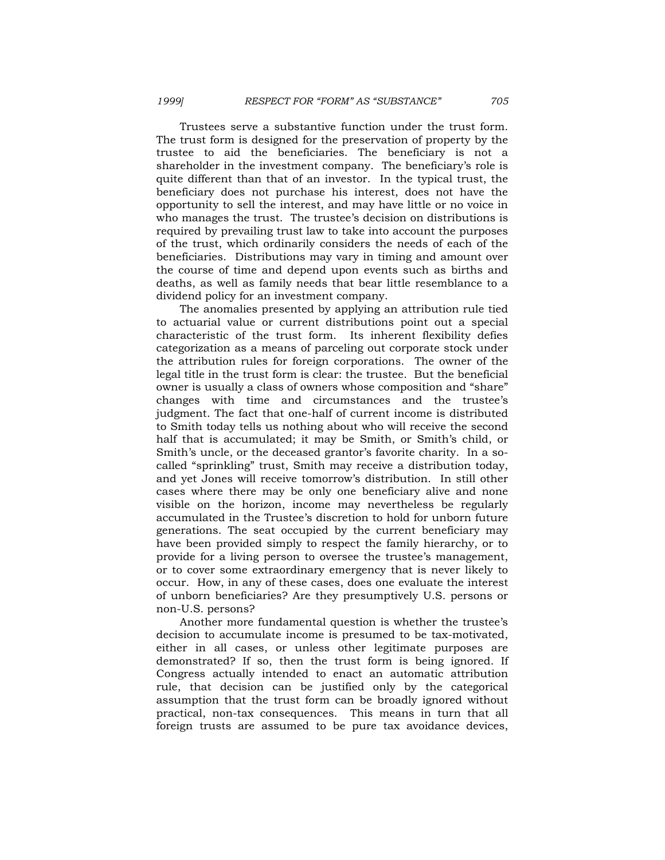Trustees serve a substantive function under the trust form. The trust form is designed for the preservation of property by the trustee to aid the beneficiaries. The beneficiary is not a shareholder in the investment company. The beneficiary's role is quite different than that of an investor. In the typical trust, the beneficiary does not purchase his interest, does not have the opportunity to sell the interest, and may have little or no voice in who manages the trust. The trustee's decision on distributions is required by prevailing trust law to take into account the purposes of the trust, which ordinarily considers the needs of each of the beneficiaries. Distributions may vary in timing and amount over the course of time and depend upon events such as births and deaths, as well as family needs that bear little resemblance to a dividend policy for an investment company.

 The anomalies presented by applying an attribution rule tied to actuarial value or current distributions point out a special characteristic of the trust form. Its inherent flexibility defies categorization as a means of parceling out corporate stock under the attribution rules for foreign corporations. The owner of the legal title in the trust form is clear: the trustee. But the beneficial owner is usually a class of owners whose composition and "share" changes with time and circumstances and the trustee's judgment. The fact that one-half of current income is distributed to Smith today tells us nothing about who will receive the second half that is accumulated; it may be Smith, or Smith's child, or Smith's uncle, or the deceased grantor's favorite charity. In a socalled "sprinkling" trust, Smith may receive a distribution today, and yet Jones will receive tomorrow's distribution. In still other cases where there may be only one beneficiary alive and none visible on the horizon, income may nevertheless be regularly accumulated in the Trustee's discretion to hold for unborn future generations. The seat occupied by the current beneficiary may have been provided simply to respect the family hierarchy, or to provide for a living person to oversee the trustee's management, or to cover some extraordinary emergency that is never likely to occur. How, in any of these cases, does one evaluate the interest of unborn beneficiaries? Are they presumptively U.S. persons or non-U.S. persons?

 Another more fundamental question is whether the trustee's decision to accumulate income is presumed to be tax-motivated, either in all cases, or unless other legitimate purposes are demonstrated? If so, then the trust form is being ignored. If Congress actually intended to enact an automatic attribution rule, that decision can be justified only by the categorical assumption that the trust form can be broadly ignored without practical, non-tax consequences. This means in turn that all foreign trusts are assumed to be pure tax avoidance devices,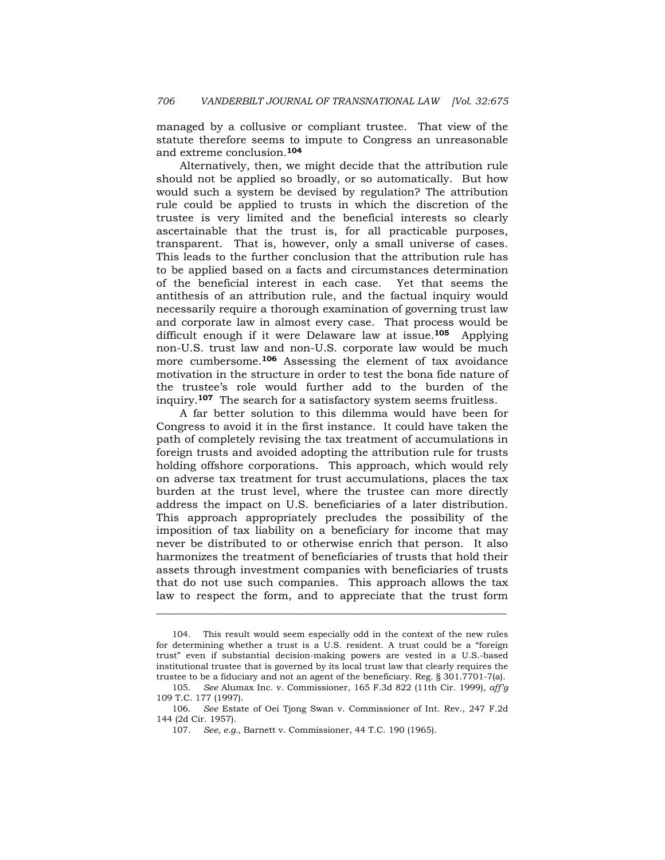managed by a collusive or compliant trustee. That view of the statute therefore seems to impute to Congress an unreasonable and extreme conclusion.**<sup>104</sup>**

 Alternatively, then, we might decide that the attribution rule should not be applied so broadly, or so automatically. But how would such a system be devised by regulation? The attribution rule could be applied to trusts in which the discretion of the trustee is very limited and the beneficial interests so clearly ascertainable that the trust is, for all practicable purposes, transparent. That is, however, only a small universe of cases. This leads to the further conclusion that the attribution rule has to be applied based on a facts and circumstances determination of the beneficial interest in each case. Yet that seems the antithesis of an attribution rule, and the factual inquiry would necessarily require a thorough examination of governing trust law and corporate law in almost every case. That process would be difficult enough if it were Delaware law at issue.**105** Applying non-U.S. trust law and non-U.S. corporate law would be much more cumbersome.**106** Assessing the element of tax avoidance motivation in the structure in order to test the bona fide nature of the trustee's role would further add to the burden of the inquiry.**107** The search for a satisfactory system seems fruitless.

 A far better solution to this dilemma would have been for Congress to avoid it in the first instance. It could have taken the path of completely revising the tax treatment of accumulations in foreign trusts and avoided adopting the attribution rule for trusts holding offshore corporations. This approach, which would rely on adverse tax treatment for trust accumulations, places the tax burden at the trust level, where the trustee can more directly address the impact on U.S. beneficiaries of a later distribution. This approach appropriately precludes the possibility of the imposition of tax liability on a beneficiary for income that may never be distributed to or otherwise enrich that person. It also harmonizes the treatment of beneficiaries of trusts that hold their assets through investment companies with beneficiaries of trusts that do not use such companies. This approach allows the tax law to respect the form, and to appreciate that the trust form

 <sup>104.</sup> This result would seem especially odd in the context of the new rules for determining whether a trust is a U.S. resident. A trust could be a "foreign trust" even if substantial decision-making powers are vested in a U.S.-based institutional trustee that is governed by its local trust law that clearly requires the trustee to be a fiduciary and not an agent of the beneficiary. Reg. § 301.7701-7(a).

 <sup>105.</sup> *See* Alumax Inc. v. Commissioner, 165 F.3d 822 (11th Cir. 1999), *aff'g* 109 T.C. 177 (1997).

 <sup>106.</sup> *See* Estate of Oei Tjong Swan v. Commissioner of Int. Rev., 247 F.2d 144 (2d Cir. 1957).

 <sup>107.</sup> *See, e.g.,* Barnett v. Commissioner, 44 T.C. 190 (1965).